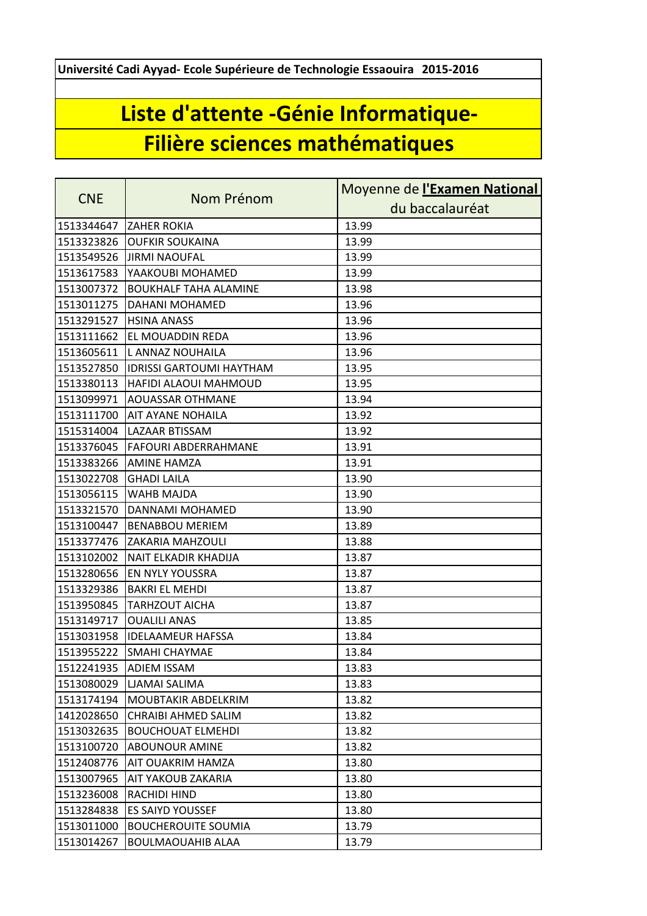**Université Cadi Ayyad- Ecole Supérieure de Technologie Essaouira 2015-2016**

## **Liste d'attente -Génie Informatique-Filière sciences mathématiques**

|            |                                 | Moyenne de l'Examen National |
|------------|---------------------------------|------------------------------|
| <b>CNE</b> | Nom Prénom                      | du baccalauréat              |
| 1513344647 | <b>ZAHER ROKIA</b>              | 13.99                        |
| 1513323826 | <b>OUFKIR SOUKAINA</b>          | 13.99                        |
| 1513549526 | <b>JIRMI NAOUFAL</b>            | 13.99                        |
| 1513617583 | YAAKOUBI MOHAMED                | 13.99                        |
| 1513007372 | <b>BOUKHALF TAHA ALAMINE</b>    | 13.98                        |
| 1513011275 | DAHANI MOHAMED                  | 13.96                        |
| 1513291527 | <b>HSINA ANASS</b>              | 13.96                        |
| 1513111662 | EL MOUADDIN REDA                | 13.96                        |
| 1513605611 | L ANNAZ NOUHAILA                | 13.96                        |
| 1513527850 | <b>IDRISSI GARTOUMI HAYTHAM</b> | 13.95                        |
| 1513380113 | HAFIDI ALAOUI MAHMOUD           | 13.95                        |
| 1513099971 | <b>AOUASSAR OTHMANE</b>         | 13.94                        |
| 1513111700 | AIT AYANE NOHAILA               | 13.92                        |
| 1515314004 | <b>LAZAAR BTISSAM</b>           | 13.92                        |
| 1513376045 | <b>FAFOURI ABDERRAHMANE</b>     | 13.91                        |
| 1513383266 | <b>AMINE HAMZA</b>              | 13.91                        |
| 1513022708 | <b>GHADI LAILA</b>              | 13.90                        |
| 1513056115 | <b>WAHB MAJDA</b>               | 13.90                        |
| 1513321570 | DANNAMI MOHAMED                 | 13.90                        |
| 1513100447 | <b>BENABBOU MERIEM</b>          | 13.89                        |
| 1513377476 | <b>ZAKARIA MAHZOULI</b>         | 13.88                        |
| 1513102002 | <b>NAIT ELKADIR KHADIJA</b>     | 13.87                        |
| 1513280656 | EN NYLY YOUSSRA                 | 13.87                        |
| 1513329386 | <b>BAKRI EL MEHDI</b>           | 13.87                        |
| 1513950845 | <b>TARHZOUT AICHA</b>           | 13.87                        |
| 1513149717 | <b>OUALILI ANAS</b>             | 13.85                        |
| 1513031958 | <b>IDELAAMEUR HAFSSA</b>        | 13.84                        |
| 1513955222 | <b>SMAHI CHAYMAE</b>            | 13.84                        |
|            | 1512241935 ADIEM ISSAM          | 13.83                        |
| 1513080029 | LJAMAI SALIMA                   | 13.83                        |
| 1513174194 | MOUBTAKIR ABDELKRIM             | 13.82                        |
| 1412028650 | CHRAIBI AHMED SALIM             | 13.82                        |
| 1513032635 | <b>BOUCHOUAT ELMEHDI</b>        | 13.82                        |
| 1513100720 | <b>ABOUNOUR AMINE</b>           | 13.82                        |
| 1512408776 | AIT OUAKRIM HAMZA               | 13.80                        |
| 1513007965 | AIT YAKOUB ZAKARIA              | 13.80                        |
| 1513236008 | RACHIDI HIND                    | 13.80                        |
| 1513284838 | <b>ES SAIYD YOUSSEF</b>         | 13.80                        |
| 1513011000 | <b>BOUCHEROUITE SOUMIA</b>      | 13.79                        |
| 1513014267 | <b>BOULMAOUAHIB ALAA</b>        | 13.79                        |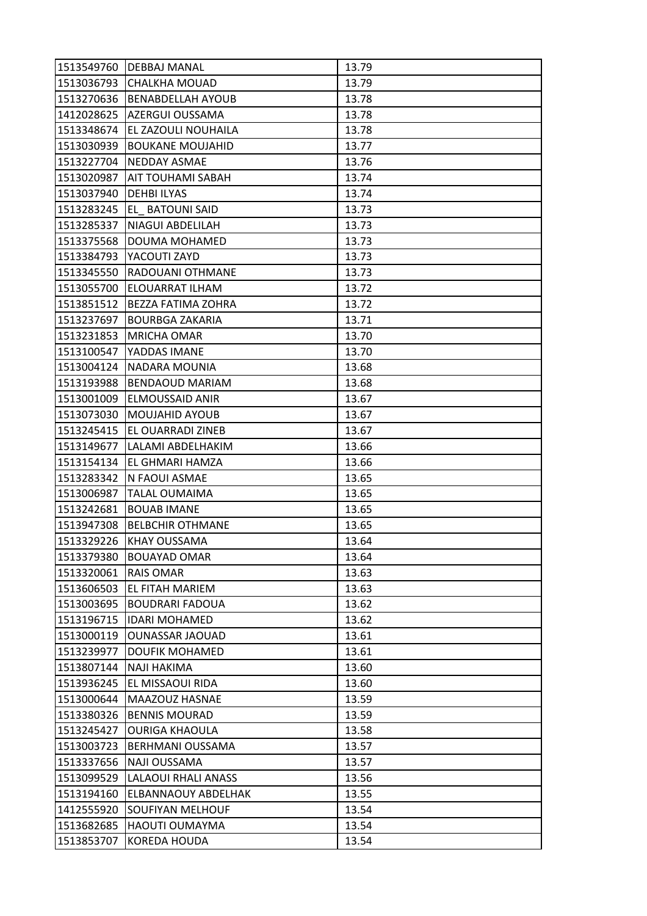| 1513549760 | <b>DEBBAJ MANAL</b>      | 13.79 |
|------------|--------------------------|-------|
| 1513036793 | <b>CHALKHA MOUAD</b>     | 13.79 |
| 1513270636 | <b>BENABDELLAH AYOUB</b> | 13.78 |
| 1412028625 | AZERGUI OUSSAMA          | 13.78 |
| 1513348674 | EL ZAZOULI NOUHAILA      | 13.78 |
| 1513030939 | <b>BOUKANE MOUJAHID</b>  | 13.77 |
| 1513227704 | NEDDAY ASMAE             | 13.76 |
| 1513020987 | AIT TOUHAMI SABAH        | 13.74 |
| 1513037940 | <b>DEHBI ILYAS</b>       | 13.74 |
| 1513283245 | EL BATOUNI SAID          | 13.73 |
| 1513285337 | <b>NIAGUI ABDELILAH</b>  | 13.73 |
| 1513375568 | DOUMA MOHAMED            | 13.73 |
| 1513384793 | YACOUTI ZAYD             | 13.73 |
| 1513345550 | RADOUANI OTHMANE         | 13.73 |
| 1513055700 | ELOUARRAT ILHAM          | 13.72 |
| 1513851512 | BEZZA FATIMA ZOHRA       | 13.72 |
| 1513237697 | <b>BOURBGA ZAKARIA</b>   | 13.71 |
| 1513231853 | <b>MRICHA OMAR</b>       | 13.70 |
| 1513100547 | YADDAS IMANE             | 13.70 |
| 1513004124 | NADARA MOUNIA            | 13.68 |
| 1513193988 | BENDAOUD MARIAM          | 13.68 |
| 1513001009 | <b>ELMOUSSAID ANIR</b>   | 13.67 |
| 1513073030 | <b>MOUJAHID AYOUB</b>    | 13.67 |
| 1513245415 | EL OUARRADI ZINEB        | 13.67 |
| 1513149677 | LALAMI ABDELHAKIM        | 13.66 |
| 1513154134 | EL GHMARI HAMZA          | 13.66 |
| 1513283342 | N FAOUI ASMAE            | 13.65 |
| 1513006987 | <b>TALAL OUMAIMA</b>     | 13.65 |
| 1513242681 | <b>BOUAB IMANE</b>       | 13.65 |
| 1513947308 | <b>BELBCHIR OTHMANE</b>  | 13.65 |
| 1513329226 | KHAY OUSSAMA             | 13.64 |
| 1513379380 | <b>BOUAYAD OMAR</b>      | 13.64 |
| 1513320061 | <b>RAIS OMAR</b>         | 13.63 |
| 1513606503 | <b>EL FITAH MARIEM</b>   | 13.63 |
| 1513003695 | <b>BOUDRARI FADOUA</b>   | 13.62 |
| 1513196715 | <b>IDARI MOHAMED</b>     | 13.62 |
| 1513000119 | <b>OUNASSAR JAOUAD</b>   | 13.61 |
| 1513239977 | <b>DOUFIK MOHAMED</b>    | 13.61 |
| 1513807144 | <b>NAJI HAKIMA</b>       | 13.60 |
| 1513936245 | EL MISSAOUI RIDA         | 13.60 |
| 1513000644 | MAAZOUZ HASNAE           | 13.59 |
| 1513380326 | <b>BENNIS MOURAD</b>     | 13.59 |
| 1513245427 | <b>OURIGA KHAOULA</b>    | 13.58 |
| 1513003723 | <b>BERHMANI OUSSAMA</b>  | 13.57 |
| 1513337656 | <b>NAJI OUSSAMA</b>      | 13.57 |
| 1513099529 | LALAOUI RHALI ANASS      | 13.56 |
| 1513194160 | ELBANNAOUY ABDELHAK      | 13.55 |
| 1412555920 | <b>SOUFIYAN MELHOUF</b>  | 13.54 |
| 1513682685 | HAOUTI OUMAYMA           | 13.54 |
| 1513853707 | <b>KOREDA HOUDA</b>      | 13.54 |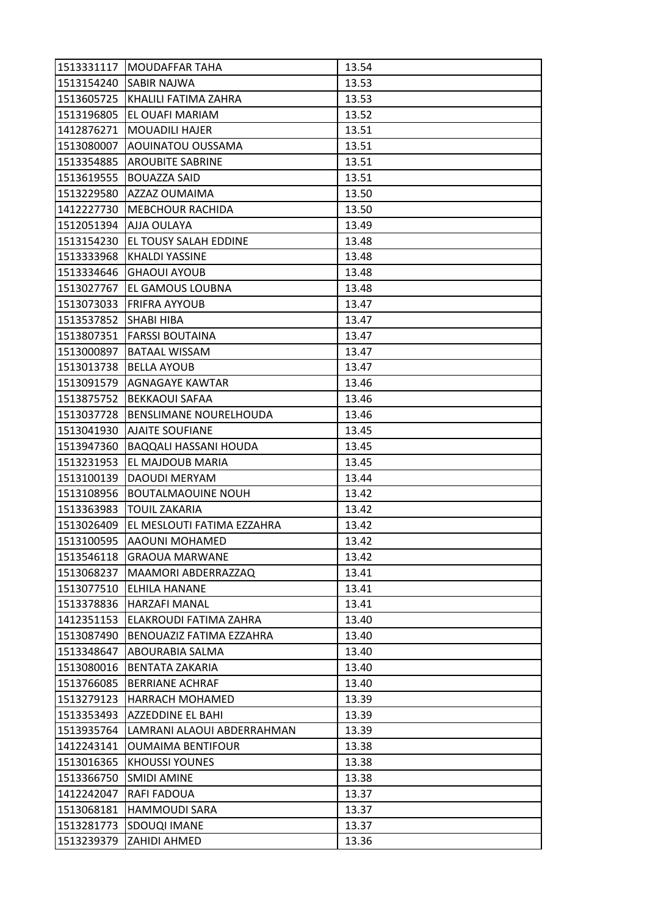| 1513331117 | <b>MOUDAFFAR TAHA</b>        | 13.54 |
|------------|------------------------------|-------|
| 1513154240 | <b>SABIR NAJWA</b>           | 13.53 |
| 1513605725 | KHALILI FATIMA ZAHRA         | 13.53 |
| 1513196805 | EL OUAFI MARIAM              | 13.52 |
| 1412876271 | <b>MOUADILI HAJER</b>        | 13.51 |
| 1513080007 | AOUINATOU OUSSAMA            | 13.51 |
| 1513354885 | <b>AROUBITE SABRINE</b>      | 13.51 |
| 1513619555 | <b>BOUAZZA SAID</b>          | 13.51 |
| 1513229580 | AZZAZ OUMAIMA                | 13.50 |
| 1412227730 | <b>MEBCHOUR RACHIDA</b>      | 13.50 |
| 1512051394 | AJJA OULAYA                  | 13.49 |
| 1513154230 | <b>EL TOUSY SALAH EDDINE</b> | 13.48 |
| 1513333968 | KHALDI YASSINE               | 13.48 |
| 1513334646 | <b>GHAOUI AYOUB</b>          | 13.48 |
| 1513027767 | EL GAMOUS LOUBNA             | 13.48 |
| 1513073033 | IFRIFRA AYYOUB               | 13.47 |
| 1513537852 | <b>SHABI HIBA</b>            | 13.47 |
| 1513807351 | <b>FARSSI BOUTAINA</b>       | 13.47 |
| 1513000897 | <b>BATAAL WISSAM</b>         | 13.47 |
| 1513013738 | <b>BELLA AYOUB</b>           | 13.47 |
| 1513091579 | AGNAGAYE KAWTAR              | 13.46 |
| 1513875752 | <b>BEKKAOUI SAFAA</b>        | 13.46 |
| 1513037728 | BENSLIMANE NOURELHOUDA       | 13.46 |
| 1513041930 | <b>AJAITE SOUFIANE</b>       | 13.45 |
| 1513947360 | <b>BAQQALI HASSANI HOUDA</b> | 13.45 |
| 1513231953 | EL MAJDOUB MARIA             | 13.45 |
| 1513100139 | <b>DAOUDI MERYAM</b>         | 13.44 |
| 1513108956 | <b>BOUTALMAOUINE NOUH</b>    | 13.42 |
| 1513363983 | <b>TOUIL ZAKARIA</b>         | 13.42 |
| 1513026409 | EL MESLOUTI FATIMA EZZAHRA   | 13.42 |
| 1513100595 | IAAOUNI MOHAMED              | 13.42 |
| 1513546118 | <b>GRAOUA MARWANE</b>        | 13.42 |
| 1513068237 | MAAMORI ABDERRAZZAQ          | 13.41 |
| 1513077510 | <b>ELHILA HANANE</b>         | 13.41 |
| 1513378836 | <b>HARZAFI MANAL</b>         | 13.41 |
| 1412351153 | ELAKROUDI FATIMA ZAHRA       | 13.40 |
| 1513087490 | BENOUAZIZ FATIMA EZZAHRA     | 13.40 |
| 1513348647 | ABOURABIA SALMA              | 13.40 |
| 1513080016 | BENTATA ZAKARIA              | 13.40 |
| 1513766085 | <b>BERRIANE ACHRAF</b>       | 13.40 |
| 1513279123 | <b>HARRACH MOHAMED</b>       | 13.39 |
| 1513353493 | AZZEDDINE EL BAHI            | 13.39 |
| 1513935764 | LAMRANI ALAOUI ABDERRAHMAN   | 13.39 |
| 1412243141 | <b>OUMAIMA BENTIFOUR</b>     | 13.38 |
| 1513016365 | <b>KHOUSSI YOUNES</b>        | 13.38 |
| 1513366750 | <b>SMIDI AMINE</b>           | 13.38 |
| 1412242047 | <b>RAFI FADOUA</b>           | 13.37 |
| 1513068181 | <b>HAMMOUDI SARA</b>         | 13.37 |
| 1513281773 | SDOUQI IMANE                 | 13.37 |
| 1513239379 | ZAHIDI AHMED                 | 13.36 |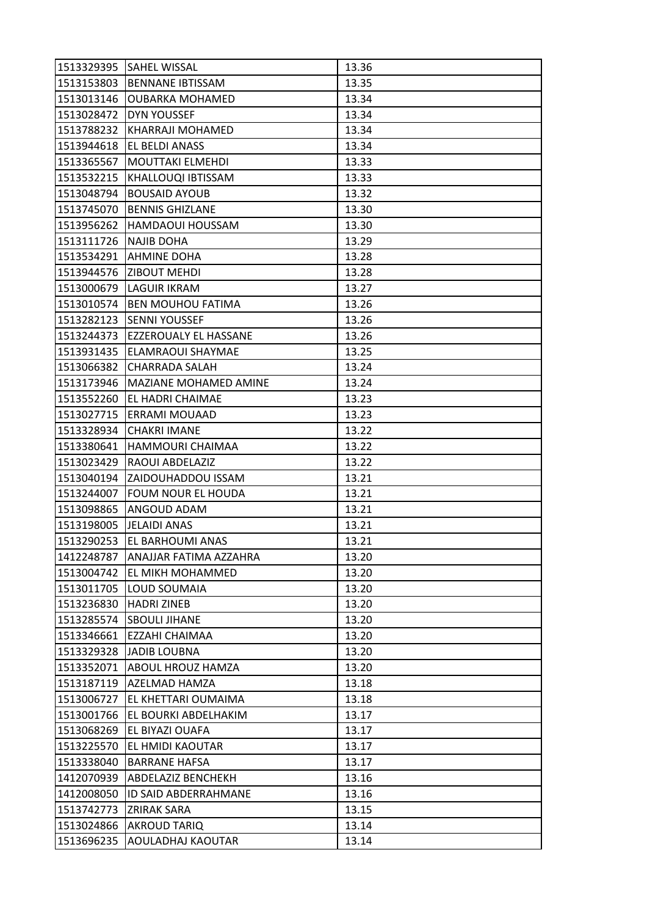| 1513329395 | <b>SAHEL WISSAL</b>         | 13.36 |
|------------|-----------------------------|-------|
| 1513153803 | <b>BENNANE IBTISSAM</b>     | 13.35 |
| 1513013146 | <b>OUBARKA MOHAMED</b>      | 13.34 |
| 1513028472 | DYN YOUSSEF                 | 13.34 |
| 1513788232 | KHARRAJI MOHAMED            | 13.34 |
| 1513944618 | EL BELDI ANASS              | 13.34 |
| 1513365567 | MOUTTAKI ELMEHDI            | 13.33 |
| 1513532215 | KHALLOUQI IBTISSAM          | 13.33 |
| 1513048794 | <b>BOUSAID AYOUB</b>        | 13.32 |
| 1513745070 | <b>BENNIS GHIZLANE</b>      | 13.30 |
| 1513956262 | HAMDAOUI HOUSSAM            | 13.30 |
| 1513111726 | <b>NAJIB DOHA</b>           | 13.29 |
| 1513534291 | <b>AHMINE DOHA</b>          | 13.28 |
| 1513944576 | <b>ZIBOUT MEHDI</b>         | 13.28 |
| 1513000679 | ILAGUIR IKRAM               | 13.27 |
| 1513010574 | <b>BEN MOUHOU FATIMA</b>    | 13.26 |
| 1513282123 | <b>SENNI YOUSSEF</b>        | 13.26 |
| 1513244373 | EZZEROUALY EL HASSANE       | 13.26 |
| 1513931435 | ELAMRAOUI SHAYMAE           | 13.25 |
| 1513066382 | <b>CHARRADA SALAH</b>       | 13.24 |
| 1513173946 | MAZIANE MOHAMED AMINE       | 13.24 |
| 1513552260 | EL HADRI CHAIMAE            | 13.23 |
| 1513027715 | ERRAMI MOUAAD               | 13.23 |
| 1513328934 | <b>CHAKRI IMANE</b>         | 13.22 |
| 1513380641 | HAMMOURI CHAIMAA            | 13.22 |
| 1513023429 | RAOUI ABDELAZIZ             | 13.22 |
| 1513040194 | ZAIDOUHADDOU ISSAM          | 13.21 |
| 1513244007 | <b>FOUM NOUR EL HOUDA</b>   | 13.21 |
| 1513098865 | ANGOUD ADAM                 | 13.21 |
| 1513198005 | JELAIDI ANAS                | 13.21 |
| 1513290253 | <b>EL BARHOUMI ANAS</b>     | 13.21 |
| 1412248787 | ANAJJAR FATIMA AZZAHRA      | 13.20 |
| 1513004742 | EL MIKH MOHAMMED            | 13.20 |
| 1513011705 | LOUD SOUMAIA                | 13.20 |
| 1513236830 | <b>HADRI ZINEB</b>          | 13.20 |
| 1513285574 | <b>SBOULI JIHANE</b>        | 13.20 |
| 1513346661 | EZZAHI CHAIMAA              | 13.20 |
| 1513329328 | <b>JADIB LOUBNA</b>         | 13.20 |
| 1513352071 | ABOUL HROUZ HAMZA           | 13.20 |
| 1513187119 | AZELMAD HAMZA               | 13.18 |
| 1513006727 | EL KHETTARI OUMAIMA         | 13.18 |
| 1513001766 | <b>EL BOURKI ABDELHAKIM</b> | 13.17 |
| 1513068269 | EL BIYAZI OUAFA             | 13.17 |
| 1513225570 | EL HMIDI KAOUTAR            | 13.17 |
| 1513338040 | <b>BARRANE HAFSA</b>        | 13.17 |
| 1412070939 | <b>ABDELAZIZ BENCHEKH</b>   | 13.16 |
| 1412008050 | ID SAID ABDERRAHMANE        | 13.16 |
| 1513742773 | <b>ZRIRAK SARA</b>          | 13.15 |
| 1513024866 | <b>AKROUD TARIQ</b>         | 13.14 |
| 1513696235 | AOULADHAJ KAOUTAR           | 13.14 |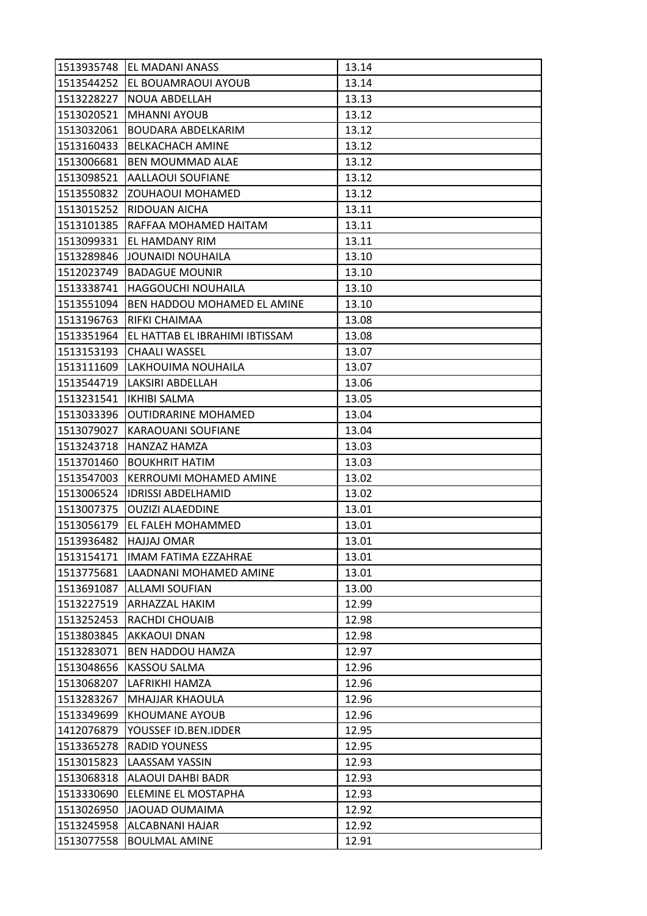| 1513935748 | <b>JEL MADANI ANASS</b>        | 13.14 |
|------------|--------------------------------|-------|
| 1513544252 | <b>EL BOUAMRAOUI AYOUB</b>     | 13.14 |
| 1513228227 | <b>NOUA ABDELLAH</b>           | 13.13 |
| 1513020521 | <b>MHANNI AYOUB</b>            | 13.12 |
| 1513032061 | BOUDARA ABDELKARIM             | 13.12 |
| 1513160433 | <b>BELKACHACH AMINE</b>        | 13.12 |
| 1513006681 | BEN MOUMMAD ALAE               | 13.12 |
| 1513098521 | <b>AALLAOUI SOUFIANE</b>       | 13.12 |
| 1513550832 | ZOUHAOUI MOHAMED               | 13.12 |
| 1513015252 | RIDOUAN AICHA                  | 13.11 |
| 1513101385 | RAFFAA MOHAMED HAITAM          | 13.11 |
| 1513099331 | EL HAMDANY RIM                 | 13.11 |
| 1513289846 | <b>JOUNAIDI NOUHAILA</b>       | 13.10 |
| 1512023749 | <b>BADAGUE MOUNIR</b>          | 13.10 |
| 1513338741 | <b>HAGGOUCHI NOUHAILA</b>      | 13.10 |
| 1513551094 | BEN HADDOU MOHAMED EL AMINE    | 13.10 |
| 1513196763 | RIFKI CHAIMAA                  | 13.08 |
| 1513351964 | EL HATTAB EL IBRAHIMI IBTISSAM | 13.08 |
| 1513153193 | <b>CHAALI WASSEL</b>           | 13.07 |
| 1513111609 | LAKHOUIMA NOUHAILA             | 13.07 |
| 1513544719 | LAKSIRI ABDELLAH               | 13.06 |
| 1513231541 | <b>IKHIBI SALMA</b>            | 13.05 |
| 1513033396 | <b>OUTIDRARINE MOHAMED</b>     | 13.04 |
| 1513079027 | KARAOUANI SOUFIANE             | 13.04 |
| 1513243718 | HANZAZ HAMZA                   | 13.03 |
| 1513701460 | <b>BOUKHRIT HATIM</b>          | 13.03 |
| 1513547003 | <b>KERROUMI MOHAMED AMINE</b>  | 13.02 |
| 1513006524 | <b>IDRISSI ABDELHAMID</b>      | 13.02 |
| 1513007375 | <b>OUZIZI ALAEDDINE</b>        | 13.01 |
| 1513056179 | EL FALEH MOHAMMED              | 13.01 |
| 1513936482 | <b>HAJJAJ OMAR</b>             | 13.01 |
| 1513154171 | <b>IMAM FATIMA EZZAHRAE</b>    | 13.01 |
| 1513775681 | LAADNANI MOHAMED AMINE         | 13.01 |
| 1513691087 | <b>ALLAMI SOUFIAN</b>          | 13.00 |
| 1513227519 | ARHAZZAL HAKIM                 | 12.99 |
| 1513252453 | <b>RACHDI CHOUAIB</b>          | 12.98 |
| 1513803845 | <b>AKKAOUI DNAN</b>            | 12.98 |
| 1513283071 | <b>BEN HADDOU HAMZA</b>        | 12.97 |
| 1513048656 | KASSOU SALMA                   | 12.96 |
| 1513068207 | LAFRIKHI HAMZA                 | 12.96 |
| 1513283267 |                                |       |
|            | MHAJJAR KHAOULA                | 12.96 |
| 1513349699 | KHOUMANE AYOUB                 | 12.96 |
| 1412076879 | YOUSSEF ID.BEN.IDDER           | 12.95 |
| 1513365278 | <b>RADID YOUNESS</b>           | 12.95 |
| 1513015823 | LAASSAM YASSIN                 | 12.93 |
| 1513068318 | ALAOUI DAHBI BADR              | 12.93 |
| 1513330690 | ELEMINE EL MOSTAPHA            | 12.93 |
| 1513026950 | JAOUAD OUMAIMA                 | 12.92 |
| 1513245958 | ALCABNANI HAJAR                | 12.92 |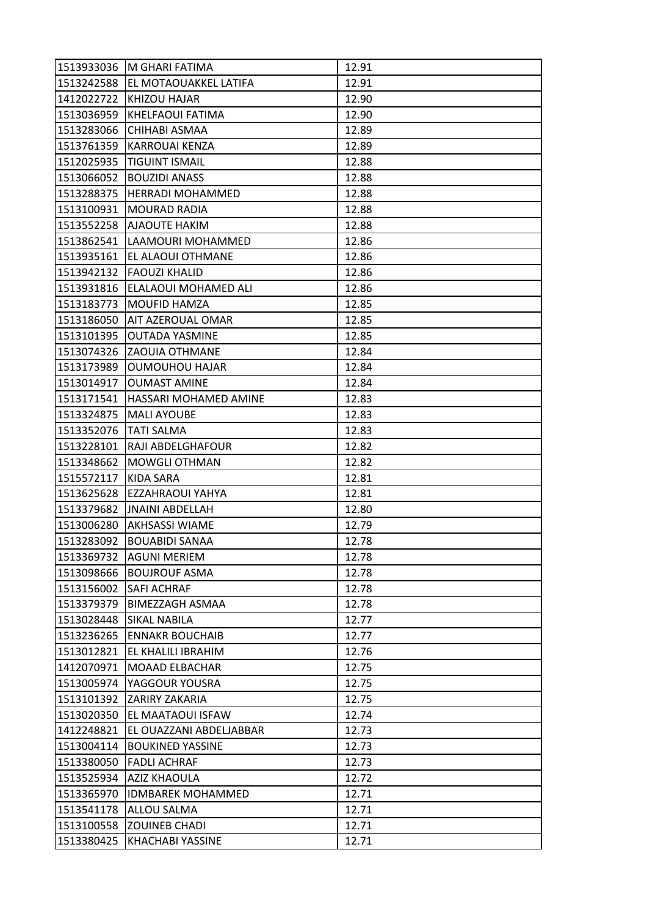| 1513933036 | IM GHARI FATIMA          | 12.91 |
|------------|--------------------------|-------|
| 1513242588 | EL MOTAOUAKKEL LATIFA    | 12.91 |
| 1412022722 | KHIZOU HAJAR             | 12.90 |
| 1513036959 | KHELFAOUI FATIMA         | 12.90 |
| 1513283066 | CHIHABI ASMAA            | 12.89 |
| 1513761359 | <b>KARROUAI KENZA</b>    | 12.89 |
| 1512025935 | <b>TIGUINT ISMAIL</b>    | 12.88 |
| 1513066052 | <b>BOUZIDI ANASS</b>     | 12.88 |
| 1513288375 | <b>HERRADI MOHAMMED</b>  | 12.88 |
| 1513100931 | <b>MOURAD RADIA</b>      | 12.88 |
| 1513552258 | <b>AJAOUTE HAKIM</b>     | 12.88 |
| 1513862541 | LAAMOURI MOHAMMED        | 12.86 |
| 1513935161 | EL ALAOUI OTHMANE        | 12.86 |
| 1513942132 | <b>FAOUZI KHALID</b>     | 12.86 |
| 1513931816 | ELALAOUI MOHAMED ALI     | 12.86 |
| 1513183773 | <b>MOUFID HAMZA</b>      | 12.85 |
| 1513186050 | AIT AZEROUAL OMAR        | 12.85 |
| 1513101395 | <b>OUTADA YASMINE</b>    | 12.85 |
| 1513074326 | <b>ZAOUIA OTHMANE</b>    | 12.84 |
| 1513173989 | <b>OUMOUHOU HAJAR</b>    | 12.84 |
| 1513014917 | <b>OUMAST AMINE</b>      | 12.84 |
| 1513171541 | HASSARI MOHAMED AMINE    | 12.83 |
| 1513324875 | <b>MALI AYOUBE</b>       | 12.83 |
| 1513352076 | <b>TATI SALMA</b>        | 12.83 |
| 1513228101 | RAJI ABDELGHAFOUR        | 12.82 |
| 1513348662 | <b>MOWGLI OTHMAN</b>     | 12.82 |
| 1515572117 | <b>KIDA SARA</b>         | 12.81 |
| 1513625628 | <b>EZZAHRAOUI YAHYA</b>  | 12.81 |
| 1513379682 | <b>JNAINI ABDELLAH</b>   | 12.80 |
| 1513006280 | <b>AKHSASSI WIAME</b>    | 12.79 |
| 1513283092 | <b>BOUABIDI SANAA</b>    | 12.78 |
| 1513369732 | <b>AGUNI MERIEM</b>      | 12.78 |
| 1513098666 | <b>BOUJROUF ASMA</b>     | 12.78 |
| 1513156002 | <b>SAFI ACHRAF</b>       | 12.78 |
| 1513379379 | <b>BIMEZZAGH ASMAA</b>   | 12.78 |
| 1513028448 | <b>SIKAL NABILA</b>      | 12.77 |
| 1513236265 | <b>ENNAKR BOUCHAIB</b>   | 12.77 |
| 1513012821 | EL KHALILI IBRAHIM       | 12.76 |
| 1412070971 | MOAAD ELBACHAR           | 12.75 |
| 1513005974 | YAGGOUR YOUSRA           | 12.75 |
| 1513101392 | <b>ZARIRY ZAKARIA</b>    | 12.75 |
| 1513020350 | <b>EL MAATAOUI ISFAW</b> | 12.74 |
| 1412248821 | EL OUAZZANI ABDELJABBAR  | 12.73 |
| 1513004114 | <b>BOUKINED YASSINE</b>  | 12.73 |
| 1513380050 | <b>FADLI ACHRAF</b>      | 12.73 |
| 1513525934 | AZIZ KHAOULA             | 12.72 |
| 1513365970 | <b>IDMBAREK MOHAMMED</b> | 12.71 |
| 1513541178 | <b>ALLOU SALMA</b>       | 12.71 |
| 1513100558 | <b>ZOUINEB CHADI</b>     | 12.71 |
| 1513380425 | KHACHABI YASSINE         | 12.71 |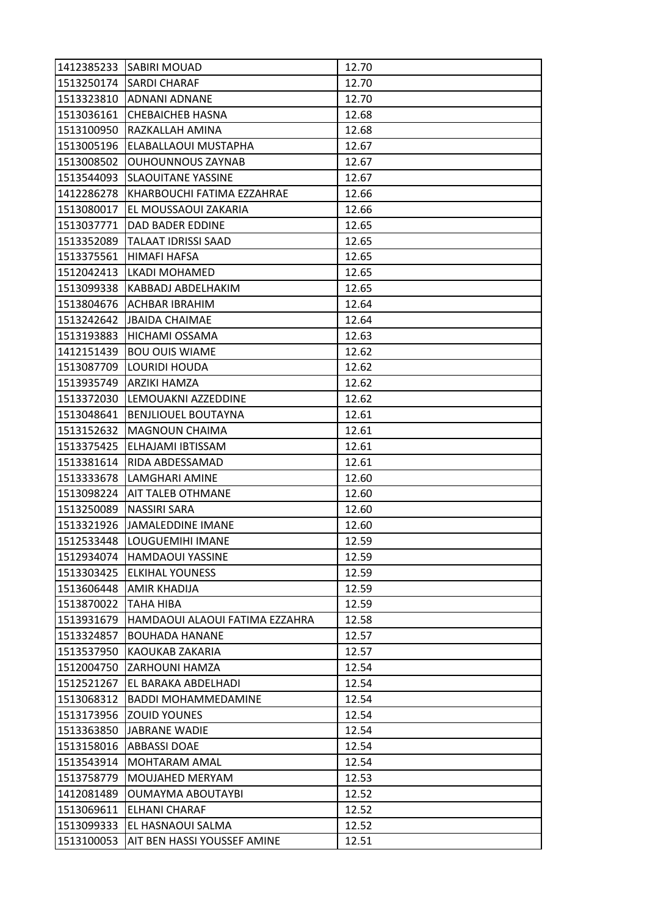| 1412385233 | <b>SABIRI MOUAD</b>            | 12.70 |
|------------|--------------------------------|-------|
| 1513250174 | <b>SARDI CHARAF</b>            | 12.70 |
| 1513323810 | <b>ADNANI ADNANE</b>           | 12.70 |
| 1513036161 | <b>CHEBAICHEB HASNA</b>        | 12.68 |
| 1513100950 | RAZKALLAH AMINA                | 12.68 |
| 1513005196 | ELABALLAOUI MUSTAPHA           | 12.67 |
| 1513008502 | <b>OUHOUNNOUS ZAYNAB</b>       | 12.67 |
| 1513544093 | <b>SLAOUITANE YASSINE</b>      | 12.67 |
| 1412286278 | KHARBOUCHI FATIMA EZZAHRAE     | 12.66 |
| 1513080017 | EL MOUSSAOUI ZAKARIA           | 12.66 |
| 1513037771 | DAD BADER EDDINE               | 12.65 |
| 1513352089 | <b>TALAAT IDRISSI SAAD</b>     | 12.65 |
| 1513375561 | HIMAFI HAFSA                   | 12.65 |
| 1512042413 | LKADI MOHAMED                  | 12.65 |
| 1513099338 | KABBADJ ABDELHAKIM             | 12.65 |
| 1513804676 | ACHBAR IBRAHIM                 | 12.64 |
| 1513242642 | <b>JBAIDA CHAIMAE</b>          | 12.64 |
| 1513193883 | HICHAMI OSSAMA                 | 12.63 |
| 1412151439 | <b>BOU OUIS WIAME</b>          | 12.62 |
| 1513087709 | <b>LOURIDI HOUDA</b>           | 12.62 |
| 1513935749 | <b>ARZIKI HAMZA</b>            | 12.62 |
| 1513372030 | LEMOUAKNI AZZEDDINE            | 12.62 |
| 1513048641 | <b>BENJLIOUEL BOUTAYNA</b>     | 12.61 |
| 1513152632 | <b>MAGNOUN CHAIMA</b>          | 12.61 |
| 1513375425 | ELHAJAMI IBTISSAM              | 12.61 |
| 1513381614 | RIDA ABDESSAMAD                | 12.61 |
| 1513333678 | LAMGHARI AMINE                 | 12.60 |
| 1513098224 | AIT TALEB OTHMANE              | 12.60 |
| 1513250089 | <b>NASSIRI SARA</b>            | 12.60 |
| 1513321926 | <b>JAMALEDDINE IMANE</b>       | 12.60 |
| 1512533448 | ILOUGUEMIHI IMANE              | 12.59 |
| 1512934074 | <b>HAMDAOUI YASSINE</b>        | 12.59 |
| 1513303425 | <b>ELKIHAL YOUNESS</b>         | 12.59 |
| 1513606448 | <b>AMIR KHADIJA</b>            | 12.59 |
| 1513870022 | <b>TAHA HIBA</b>               | 12.59 |
| 1513931679 | HAMDAOUI ALAOUI FATIMA EZZAHRA | 12.58 |
| 1513324857 | <b>BOUHADA HANANE</b>          | 12.57 |
| 1513537950 | KAOUKAB ZAKARIA                | 12.57 |
| 1512004750 | <b>ZARHOUNI HAMZA</b>          | 12.54 |
| 1512521267 | EL BARAKA ABDELHADI            | 12.54 |
| 1513068312 | <b>BADDI MOHAMMEDAMINE</b>     | 12.54 |
| 1513173956 | <b>ZOUID YOUNES</b>            | 12.54 |
| 1513363850 | <b>JABRANE WADIE</b>           | 12.54 |
| 1513158016 | <b>ABBASSI DOAE</b>            | 12.54 |
| 1513543914 | <b>MOHTARAM AMAL</b>           | 12.54 |
| 1513758779 | <b>MOUJAHED MERYAM</b>         | 12.53 |
| 1412081489 | <b>OUMAYMA ABOUTAYBI</b>       | 12.52 |
| 1513069611 | <b>ELHANI CHARAF</b>           | 12.52 |
| 1513099333 | EL HASNAOUI SALMA              | 12.52 |
| 1513100053 | AIT BEN HASSI YOUSSEF AMINE    | 12.51 |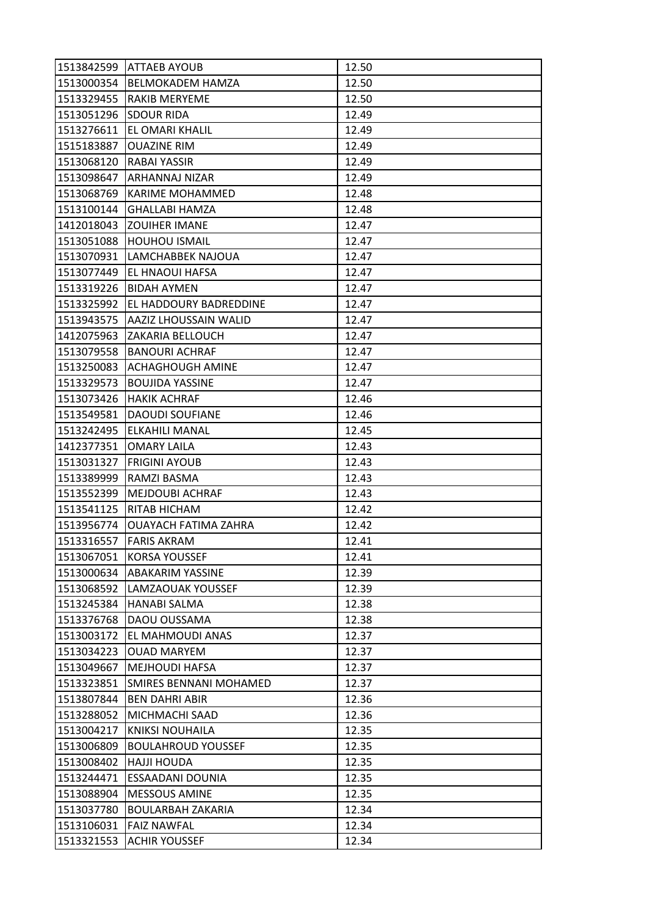| 1513842599 | <b>JATTAEB AYOUB</b>          | 12.50 |
|------------|-------------------------------|-------|
| 1513000354 | <b>BELMOKADEM HAMZA</b>       | 12.50 |
| 1513329455 | <b>RAKIB MERYEME</b>          | 12.50 |
| 1513051296 | <b>SDOUR RIDA</b>             | 12.49 |
| 1513276611 | EL OMARI KHALIL               | 12.49 |
| 1515183887 | <b>OUAZINE RIM</b>            | 12.49 |
| 1513068120 | RABAI YASSIR                  | 12.49 |
| 1513098647 | ARHANNAJ NIZAR                | 12.49 |
| 1513068769 | <b>KARIME MOHAMMED</b>        | 12.48 |
| 1513100144 | <b>GHALLABI HAMZA</b>         | 12.48 |
| 1412018043 | <b>ZOUIHER IMANE</b>          | 12.47 |
| 1513051088 | <b>HOUHOU ISMAIL</b>          | 12.47 |
| 1513070931 | LAMCHABBEK NAJOUA             | 12.47 |
| 1513077449 | <b>EL HNAOUI HAFSA</b>        | 12.47 |
| 1513319226 | <b>BIDAH AYMEN</b>            | 12.47 |
| 1513325992 | EL HADDOURY BADREDDINE        | 12.47 |
| 1513943575 | AAZIZ LHOUSSAIN WALID         | 12.47 |
| 1412075963 | ZAKARIA BELLOUCH              | 12.47 |
| 1513079558 | <b>BANOURI ACHRAF</b>         | 12.47 |
| 1513250083 | <b>ACHAGHOUGH AMINE</b>       | 12.47 |
| 1513329573 | <b>BOUJIDA YASSINE</b>        | 12.47 |
| 1513073426 | <b>HAKIK ACHRAF</b>           | 12.46 |
| 1513549581 | <b>DAOUDI SOUFIANE</b>        | 12.46 |
| 1513242495 | <b>ELKAHILI MANAL</b>         | 12.45 |
| 1412377351 | <b>OMARY LAILA</b>            | 12.43 |
| 1513031327 | <b>FRIGINI AYOUB</b>          | 12.43 |
| 1513389999 | RAMZI BASMA                   | 12.43 |
| 1513552399 | <b>MEJDOUBI ACHRAF</b>        | 12.43 |
| 1513541125 | RITAB HICHAM                  | 12.42 |
| 1513956774 | <b>OUAYACH FATIMA ZAHRA</b>   | 12.42 |
| 1513316557 | FARIS AKRAM                   | 12.41 |
| 1513067051 | <b>KORSA YOUSSEF</b>          | 12.41 |
| 1513000634 | <b>ABAKARIM YASSINE</b>       | 12.39 |
| 1513068592 | LAMZAOUAK YOUSSEF             | 12.39 |
| 1513245384 | <b>HANABI SALMA</b>           | 12.38 |
| 1513376768 | DAOU OUSSAMA                  | 12.38 |
| 1513003172 | EL MAHMOUDI ANAS              | 12.37 |
| 1513034223 | <b>OUAD MARYEM</b>            | 12.37 |
| 1513049667 | <b>MEJHOUDI HAFSA</b>         | 12.37 |
| 1513323851 | <b>SMIRES BENNANI MOHAMED</b> | 12.37 |
| 1513807844 | <b>BEN DAHRI ABIR</b>         | 12.36 |
| 1513288052 | MICHMACHI SAAD                | 12.36 |
| 1513004217 | <b>KNIKSI NOUHAILA</b>        | 12.35 |
| 1513006809 | <b>BOULAHROUD YOUSSEF</b>     | 12.35 |
| 1513008402 | <b>HAJJI HOUDA</b>            | 12.35 |
| 1513244471 | <b>ESSAADANI DOUNIA</b>       | 12.35 |
| 1513088904 | <b>MESSOUS AMINE</b>          | 12.35 |
| 1513037780 | <b>BOULARBAH ZAKARIA</b>      | 12.34 |
| 1513106031 | <b>FAIZ NAWFAL</b>            | 12.34 |
| 1513321553 | <b>ACHIR YOUSSEF</b>          | 12.34 |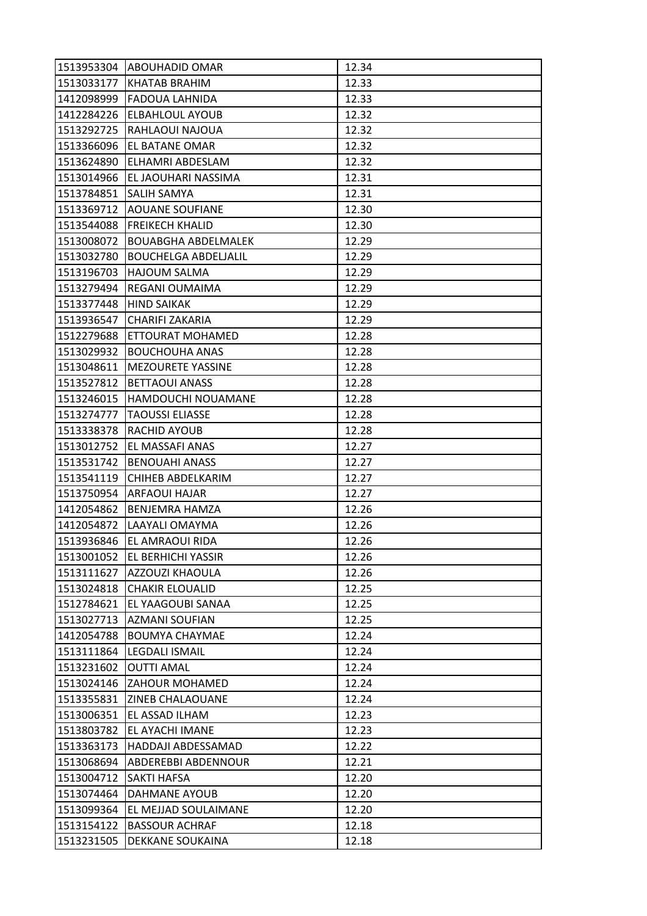| 1513953304 | <b>ABOUHADID OMAR</b>       | 12.34 |
|------------|-----------------------------|-------|
| 1513033177 | KHATAB BRAHIM               | 12.33 |
| 1412098999 | <b>FADOUA LAHNIDA</b>       | 12.33 |
| 1412284226 | <b>ELBAHLOUL AYOUB</b>      | 12.32 |
| 1513292725 | RAHLAOUI NAJOUA             | 12.32 |
| 1513366096 | EL BATANE OMAR              | 12.32 |
| 1513624890 | ELHAMRI ABDESLAM            | 12.32 |
| 1513014966 | EL JAOUHARI NASSIMA         | 12.31 |
| 1513784851 | <b>SALIH SAMYA</b>          | 12.31 |
| 1513369712 | <b>AOUANE SOUFIANE</b>      | 12.30 |
| 1513544088 | <b>FREIKECH KHALID</b>      | 12.30 |
| 1513008072 | <b>BOUABGHA ABDELMALEK</b>  | 12.29 |
| 1513032780 | <b>BOUCHELGA ABDELJALIL</b> | 12.29 |
| 1513196703 | <b>HAJOUM SALMA</b>         | 12.29 |
| 1513279494 | <b>REGANI OUMAIMA</b>       | 12.29 |
| 1513377448 | <b>HIND SAIKAK</b>          | 12.29 |
| 1513936547 | <b>CHARIFI ZAKARIA</b>      | 12.29 |
| 1512279688 | ETTOURAT MOHAMED            | 12.28 |
| 1513029932 | <b>BOUCHOUHA ANAS</b>       | 12.28 |
| 1513048611 | <b>MEZOURETE YASSINE</b>    | 12.28 |
| 1513527812 | <b>BETTAOUI ANASS</b>       | 12.28 |
| 1513246015 | HAMDOUCHI NOUAMANE          | 12.28 |
| 1513274777 | <b>TAOUSSI ELIASSE</b>      | 12.28 |
| 1513338378 | RACHID AYOUB                | 12.28 |
| 1513012752 | EL MASSAFI ANAS             | 12.27 |
| 1513531742 | <b>BENOUAHI ANASS</b>       | 12.27 |
| 1513541119 | CHIHEB ABDELKARIM           | 12.27 |
| 1513750954 | ARFAOUI HAJAR               | 12.27 |
| 1412054862 | <b>BENJEMRA HAMZA</b>       | 12.26 |
| 1412054872 | LAAYALI OMAYMA              | 12.26 |
| 1513936846 | <b>EL AMRAOUI RIDA</b>      | 12.26 |
| 1513001052 | <b>IEL BERHICHI YASSIR</b>  | 12.26 |
| 1513111627 | <b>AZZOUZI KHAOULA</b>      | 12.26 |
| 1513024818 | <b>CHAKIR ELOUALID</b>      | 12.25 |
| 1512784621 | EL YAAGOUBI SANAA           | 12.25 |
| 1513027713 | <b>AZMANI SOUFIAN</b>       | 12.25 |
| 1412054788 | <b>BOUMYA CHAYMAE</b>       | 12.24 |
| 1513111864 | <b>LEGDALI ISMAIL</b>       | 12.24 |
| 1513231602 | <b>OUTTI AMAL</b>           | 12.24 |
| 1513024146 | <b>ZAHOUR MOHAMED</b>       | 12.24 |
| 1513355831 | <b>ZINEB CHALAOUANE</b>     | 12.24 |
| 1513006351 | EL ASSAD ILHAM              | 12.23 |
| 1513803782 | EL AYACHI IMANE             | 12.23 |
| 1513363173 | HADDAJI ABDESSAMAD          | 12.22 |
| 1513068694 | ABDEREBBI ABDENNOUR         | 12.21 |
| 1513004712 | <b>SAKTI HAFSA</b>          | 12.20 |
| 1513074464 | <b>DAHMANE AYOUB</b>        | 12.20 |
| 1513099364 | EL MEJJAD SOULAIMANE        | 12.20 |
| 1513154122 | <b>BASSOUR ACHRAF</b>       | 12.18 |
| 1513231505 | DEKKANE SOUKAINA            | 12.18 |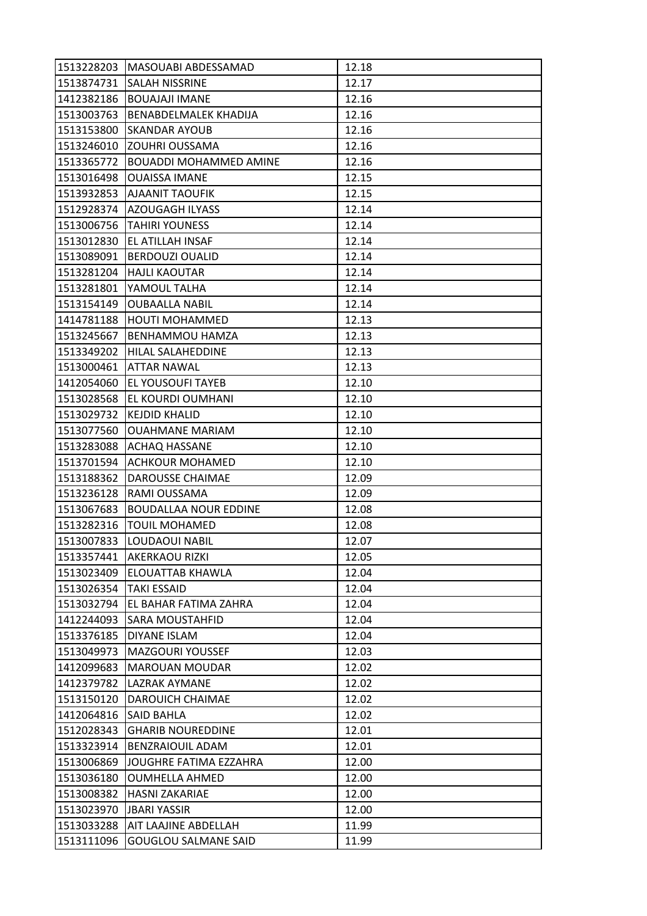| 1513228203 | MASOUABI ABDESSAMAD           | 12.18 |
|------------|-------------------------------|-------|
| 1513874731 | <b>SALAH NISSRINE</b>         | 12.17 |
| 1412382186 | <b>BOUAJAJI IMANE</b>         | 12.16 |
| 1513003763 | <b>BENABDELMALEK KHADIJA</b>  | 12.16 |
| 1513153800 | <b>SKANDAR AYOUB</b>          | 12.16 |
| 1513246010 | ZOUHRI OUSSAMA                | 12.16 |
| 1513365772 | <b>BOUADDI MOHAMMED AMINE</b> | 12.16 |
| 1513016498 | <b>OUAISSA IMANE</b>          | 12.15 |
| 1513932853 | <b>AJAANIT TAOUFIK</b>        | 12.15 |
| 1512928374 | <b>AZOUGAGH ILYASS</b>        | 12.14 |
| 1513006756 | <b>TAHIRI YOUNESS</b>         | 12.14 |
| 1513012830 | EL ATILLAH INSAF              | 12.14 |
| 1513089091 | <b>BERDOUZI OUALID</b>        | 12.14 |
| 1513281204 | <b>HAJLI KAOUTAR</b>          | 12.14 |
| 1513281801 | YAMOUL TALHA                  | 12.14 |
| 1513154149 | <b>OUBAALLA NABIL</b>         | 12.14 |
| 1414781188 | <b>HOUTI MOHAMMED</b>         | 12.13 |
| 1513245667 | <b>BENHAMMOU HAMZA</b>        | 12.13 |
| 1513349202 | HILAL SALAHEDDINE             | 12.13 |
| 1513000461 | <b>ATTAR NAWAL</b>            | 12.13 |
| 1412054060 | <b>EL YOUSOUFI TAYEB</b>      | 12.10 |
| 1513028568 | EL KOURDI OUMHANI             | 12.10 |
| 1513029732 | <b>KEJDID KHALID</b>          | 12.10 |
| 1513077560 | <b>OUAHMANE MARIAM</b>        | 12.10 |
| 1513283088 | <b>ACHAQ HASSANE</b>          | 12.10 |
| 1513701594 | <b>ACHKOUR MOHAMED</b>        | 12.10 |
| 1513188362 | DAROUSSE CHAIMAE              | 12.09 |
| 1513236128 | RAMI OUSSAMA                  | 12.09 |
| 1513067683 | <b>BOUDALLAA NOUR EDDINE</b>  | 12.08 |
| 1513282316 | <b>TOUIL MOHAMED</b>          | 12.08 |
| 1513007833 | LOUDAOUI NABIL                | 12.07 |
| 1513357441 | <b>AKERKAOU RIZKI</b>         | 12.05 |
| 1513023409 | <b>ELOUATTAB KHAWLA</b>       | 12.04 |
| 1513026354 | <b>TAKI ESSAID</b>            | 12.04 |
| 1513032794 | EL BAHAR FATIMA ZAHRA         | 12.04 |
| 1412244093 | SARA MOUSTAHFID               | 12.04 |
| 1513376185 | <b>DIYANE ISLAM</b>           | 12.04 |
| 1513049973 | MAZGOURI YOUSSEF              | 12.03 |
| 1412099683 | <b>MAROUAN MOUDAR</b>         | 12.02 |
| 1412379782 | <b>LAZRAK AYMANE</b>          | 12.02 |
| 1513150120 | DAROUICH CHAIMAE              | 12.02 |
| 1412064816 | <b>SAID BAHLA</b>             | 12.02 |
| 1512028343 | <b>GHARIB NOUREDDINE</b>      | 12.01 |
| 1513323914 | <b>BENZRAIOUIL ADAM</b>       | 12.01 |
| 1513006869 | JOUGHRE FATIMA EZZAHRA        | 12.00 |
| 1513036180 | <b>OUMHELLA AHMED</b>         | 12.00 |
| 1513008382 | <b>HASNI ZAKARIAE</b>         | 12.00 |
| 1513023970 | <b>JBARI YASSIR</b>           | 12.00 |
| 1513033288 | AIT LAAJINE ABDELLAH          | 11.99 |
| 1513111096 | <b>GOUGLOU SALMANE SAID</b>   | 11.99 |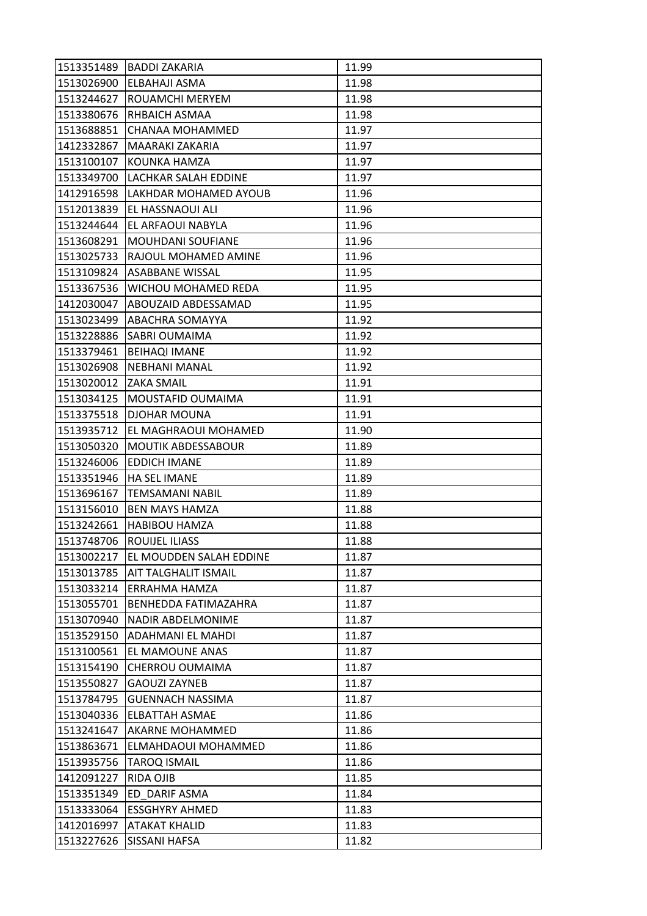| 1513351489 | <b>BADDI ZAKARIA</b>        | 11.99 |
|------------|-----------------------------|-------|
| 1513026900 | <b>ELBAHAJI ASMA</b>        | 11.98 |
| 1513244627 | ROUAMCHI MERYEM             | 11.98 |
| 1513380676 | RHBAICH ASMAA               | 11.98 |
| 1513688851 | CHANAA MOHAMMED             | 11.97 |
| 1412332867 | MAARAKI ZAKARIA             | 11.97 |
| 1513100107 | KOUNKA HAMZA                | 11.97 |
| 1513349700 | LACHKAR SALAH EDDINE        | 11.97 |
| 1412916598 | LAKHDAR MOHAMED AYOUB       | 11.96 |
| 1512013839 | EL HASSNAOUI ALI            | 11.96 |
| 1513244644 | EL ARFAOUI NABYLA           | 11.96 |
| 1513608291 | <b>MOUHDANI SOUFIANE</b>    | 11.96 |
| 1513025733 | RAJOUL MOHAMED AMINE        | 11.96 |
| 1513109824 | <b>ASABBANE WISSAL</b>      | 11.95 |
| 1513367536 | <b>WICHOU MOHAMED REDA</b>  | 11.95 |
| 1412030047 | IABOUZAID ABDESSAMAD        | 11.95 |
| 1513023499 | <b>ABACHRA SOMAYYA</b>      | 11.92 |
| 1513228886 | <b>SABRI OUMAIMA</b>        | 11.92 |
| 1513379461 | <b>BEIHAQI IMANE</b>        | 11.92 |
| 1513026908 | <b>NEBHANI MANAL</b>        | 11.92 |
| 1513020012 | <b>ZAKA SMAIL</b>           | 11.91 |
| 1513034125 | MOUSTAFID OUMAIMA           | 11.91 |
| 1513375518 | <b>DJOHAR MOUNA</b>         | 11.91 |
| 1513935712 | EL MAGHRAOUI MOHAMED        | 11.90 |
| 1513050320 | <b>MOUTIK ABDESSABOUR</b>   | 11.89 |
| 1513246006 | <b>EDDICH IMANE</b>         | 11.89 |
| 1513351946 | <b>HA SEL IMANE</b>         | 11.89 |
| 1513696167 | <b>TEMSAMANI NABIL</b>      | 11.89 |
| 1513156010 | <b>BEN MAYS HAMZA</b>       | 11.88 |
| 1513242661 | <b>HABIBOU HAMZA</b>        | 11.88 |
| 1513748706 | <b>ROUIJEL ILIASS</b>       | 11.88 |
| 1513002217 | EL MOUDDEN SALAH EDDINE     | 11.87 |
| 1513013785 | <b>AIT TALGHALIT ISMAIL</b> | 11.87 |
| 1513033214 | IERRAHMA HAMZA              | 11.87 |
| 1513055701 | BENHEDDA FATIMAZAHRA        | 11.87 |
| 1513070940 | NADIR ABDELMONIME           | 11.87 |
| 1513529150 | <b>ADAHMANI EL MAHDI</b>    | 11.87 |
| 1513100561 | EL MAMOUNE ANAS             | 11.87 |
| 1513154190 | <b>CHERROU OUMAIMA</b>      | 11.87 |
| 1513550827 | <b>GAOUZI ZAYNEB</b>        | 11.87 |
| 1513784795 | <b>GUENNACH NASSIMA</b>     | 11.87 |
| 1513040336 | <b>ELBATTAH ASMAE</b>       | 11.86 |
| 1513241647 | <b>AKARNE MOHAMMED</b>      | 11.86 |
| 1513863671 | ELMAHDAOUI MOHAMMED         | 11.86 |
| 1513935756 | <b>TAROQ ISMAIL</b>         | 11.86 |
| 1412091227 | RIDA OJIB                   | 11.85 |
| 1513351349 | ED DARIF ASMA               | 11.84 |
| 1513333064 | <b>ESSGHYRY AHMED</b>       | 11.83 |
| 1412016997 | <b>ATAKAT KHALID</b>        | 11.83 |
| 1513227626 | SISSANI HAFSA               | 11.82 |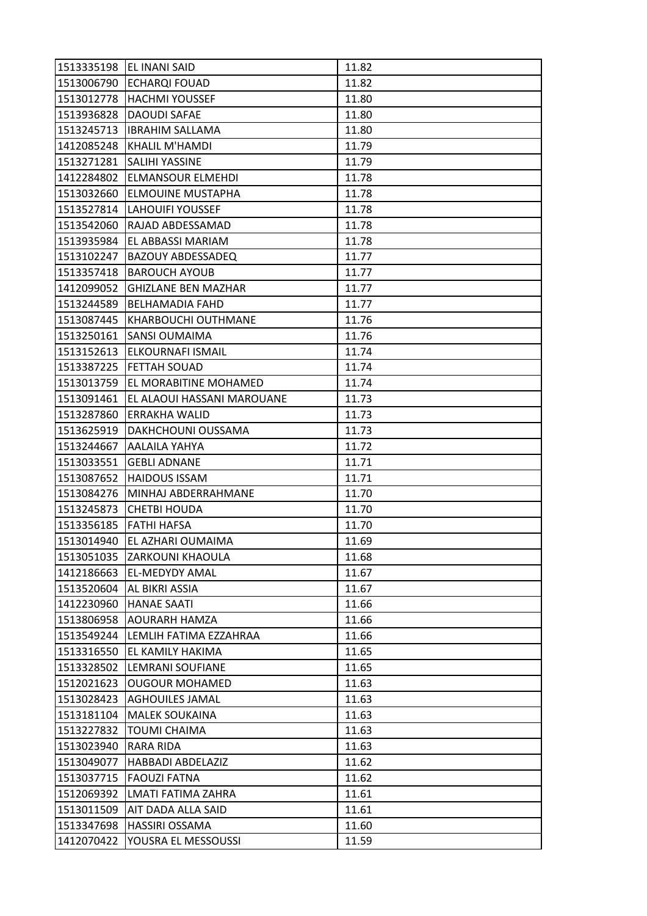| 1513335198 | <b>EL INANI SAID</b>       | 11.82 |
|------------|----------------------------|-------|
| 1513006790 | <b>ECHARQI FOUAD</b>       | 11.82 |
| 1513012778 | <b>HACHMI YOUSSEF</b>      | 11.80 |
| 1513936828 | <b>DAOUDI SAFAE</b>        | 11.80 |
| 1513245713 | <b>IBRAHIM SALLAMA</b>     | 11.80 |
| 1412085248 | <b>KHALIL M'HAMDI</b>      | 11.79 |
| 1513271281 | SALIHI YASSINE             | 11.79 |
| 1412284802 | <b>ELMANSOUR ELMEHDI</b>   | 11.78 |
| 1513032660 | <b>ELMOUINE MUSTAPHA</b>   | 11.78 |
| 1513527814 | <b>LAHOUIFI YOUSSEF</b>    | 11.78 |
| 1513542060 | RAJAD ABDESSAMAD           | 11.78 |
| 1513935984 | EL ABBASSI MARIAM          | 11.78 |
| 1513102247 | <b>BAZOUY ABDESSADEQ</b>   | 11.77 |
| 1513357418 | <b>BAROUCH AYOUB</b>       | 11.77 |
| 1412099052 | <b>GHIZLANE BEN MAZHAR</b> | 11.77 |
| 1513244589 | <b>BELHAMADIA FAHD</b>     | 11.77 |
| 1513087445 | <b>KHARBOUCHI OUTHMANE</b> | 11.76 |
| 1513250161 | SANSI OUMAIMA              | 11.76 |
| 1513152613 | ELKOURNAFI ISMAIL          | 11.74 |
| 1513387225 | <b>FETTAH SOUAD</b>        | 11.74 |
| 1513013759 | EL MORABITINE MOHAMED      | 11.74 |
| 1513091461 | EL ALAOUI HASSANI MAROUANE | 11.73 |
| 1513287860 | <b>ERRAKHA WALID</b>       | 11.73 |
| 1513625919 | DAKHCHOUNI OUSSAMA         | 11.73 |
| 1513244667 | AALAILA YAHYA              | 11.72 |
| 1513033551 | <b>GEBLI ADNANE</b>        | 11.71 |
| 1513087652 | <b>HAIDOUS ISSAM</b>       | 11.71 |
| 1513084276 | MINHAJ ABDERRAHMANE        | 11.70 |
| 1513245873 | <b>CHETBI HOUDA</b>        | 11.70 |
| 1513356185 | <b>FATHI HAFSA</b>         | 11.70 |
| 1513014940 | <b>EL AZHARI OUMAIMA</b>   | 11.69 |
| 1513051035 | <b>ZARKOUNI KHAOULA</b>    | 11.68 |
| 1412186663 | <b>EL-MEDYDY AMAL</b>      | 11.67 |
| 1513520604 | AL BIKRI ASSIA             | 11.67 |
| 1412230960 | <b>HANAE SAATI</b>         | 11.66 |
| 1513806958 | <b>AOURARH HAMZA</b>       | 11.66 |
| 1513549244 | LEMLIH FATIMA EZZAHRAA     | 11.66 |
| 1513316550 | EL KAMILY HAKIMA           | 11.65 |
| 1513328502 | LEMRANI SOUFIANE           | 11.65 |
| 1512021623 | <b>OUGOUR MOHAMED</b>      | 11.63 |
| 1513028423 | <b>AGHOUILES JAMAL</b>     | 11.63 |
| 1513181104 | <b>MALEK SOUKAINA</b>      | 11.63 |
| 1513227832 | <b>TOUMI CHAIMA</b>        | 11.63 |
| 1513023940 | RARA RIDA                  | 11.63 |
| 1513049077 | <b>HABBADI ABDELAZIZ</b>   | 11.62 |
| 1513037715 | <b>FAOUZI FATNA</b>        | 11.62 |
| 1512069392 | LMATI FATIMA ZAHRA         | 11.61 |
| 1513011509 | AIT DADA ALLA SAID         | 11.61 |
| 1513347698 | HASSIRI OSSAMA             | 11.60 |
| 1412070422 | YOUSRA EL MESSOUSSI        | 11.59 |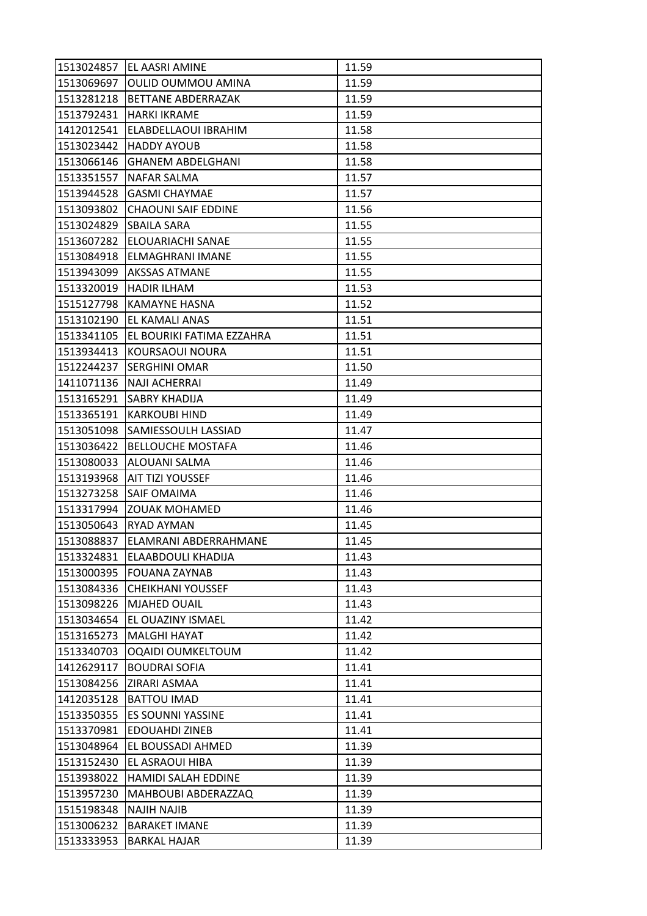| 1513024857 | EL AASRI AMINE             | 11.59 |
|------------|----------------------------|-------|
| 1513069697 | <b>OULID OUMMOU AMINA</b>  | 11.59 |
| 1513281218 | <b>BETTANE ABDERRAZAK</b>  | 11.59 |
| 1513792431 | <b>HARKI IKRAME</b>        | 11.59 |
| 1412012541 | ELABDELLAOUI IBRAHIM       | 11.58 |
| 1513023442 | <b>HADDY AYOUB</b>         | 11.58 |
| 1513066146 | <b>GHANEM ABDELGHANI</b>   | 11.58 |
| 1513351557 | <b>NAFAR SALMA</b>         | 11.57 |
| 1513944528 | <b>GASMI CHAYMAE</b>       | 11.57 |
| 1513093802 | <b>CHAOUNI SAIF EDDINE</b> | 11.56 |
| 1513024829 | <b>SBAILA SARA</b>         | 11.55 |
| 1513607282 | ELOUARIACHI SANAE          | 11.55 |
| 1513084918 | ELMAGHRANI IMANE           | 11.55 |
| 1513943099 | <b>AKSSAS ATMANE</b>       | 11.55 |
| 1513320019 | <b>HADIR ILHAM</b>         | 11.53 |
| 1515127798 | <b>KAMAYNE HASNA</b>       | 11.52 |
| 1513102190 | <b>EL KAMALI ANAS</b>      | 11.51 |
| 1513341105 | EL BOURIKI FATIMA EZZAHRA  | 11.51 |
| 1513934413 | KOURSAOUI NOURA            | 11.51 |
| 1512244237 | <b>SERGHINI OMAR</b>       | 11.50 |
| 1411071136 | <b>NAJI ACHERRAI</b>       | 11.49 |
| 1513165291 | <b>SABRY KHADIJA</b>       | 11.49 |
| 1513365191 | <b>KARKOUBI HIND</b>       | 11.49 |
| 1513051098 | SAMIESSOULH LASSIAD        | 11.47 |
| 1513036422 | <b>BELLOUCHE MOSTAFA</b>   | 11.46 |
| 1513080033 | <b>ALOUANI SALMA</b>       | 11.46 |
| 1513193968 | AIT TIZI YOUSSEF           | 11.46 |
| 1513273258 | <b>SAIF OMAIMA</b>         | 11.46 |
| 1513317994 | <b>ZOUAK MOHAMED</b>       | 11.46 |
| 1513050643 | <b>RYAD AYMAN</b>          | 11.45 |
| 1513088837 | ELAMRANI ABDERRAHMANE      | 11.45 |
| 1513324831 | <b>ELAABDOULI KHADIJA</b>  | 11.43 |
| 1513000395 | <b>FOUANA ZAYNAB</b>       | 11.43 |
| 1513084336 | <b>CHEIKHANI YOUSSEF</b>   | 11.43 |
| 1513098226 | <b>MJAHED OUAIL</b>        | 11.43 |
| 1513034654 | EL OUAZINY ISMAEL          | 11.42 |
| 1513165273 | <b>MALGHI HAYAT</b>        | 11.42 |
| 1513340703 | OQAIDI OUMKELTOUM          | 11.42 |
| 1412629117 | <b>BOUDRAI SOFIA</b>       | 11.41 |
| 1513084256 | ZIRARI ASMAA               | 11.41 |
| 1412035128 | <b>BATTOU IMAD</b>         | 11.41 |
| 1513350355 | <b>ES SOUNNI YASSINE</b>   | 11.41 |
| 1513370981 | <b>EDOUAHDI ZINEB</b>      | 11.41 |
| 1513048964 | EL BOUSSADI AHMED          | 11.39 |
| 1513152430 | EL ASRAOUI HIBA            | 11.39 |
| 1513938022 | HAMIDI SALAH EDDINE        | 11.39 |
| 1513957230 | MAHBOUBI ABDERAZZAQ        | 11.39 |
| 1515198348 | <b>NAJIH NAJIB</b>         | 11.39 |
| 1513006232 | <b>BARAKET IMANE</b>       | 11.39 |
| 1513333953 | <b>BARKAL HAJAR</b>        | 11.39 |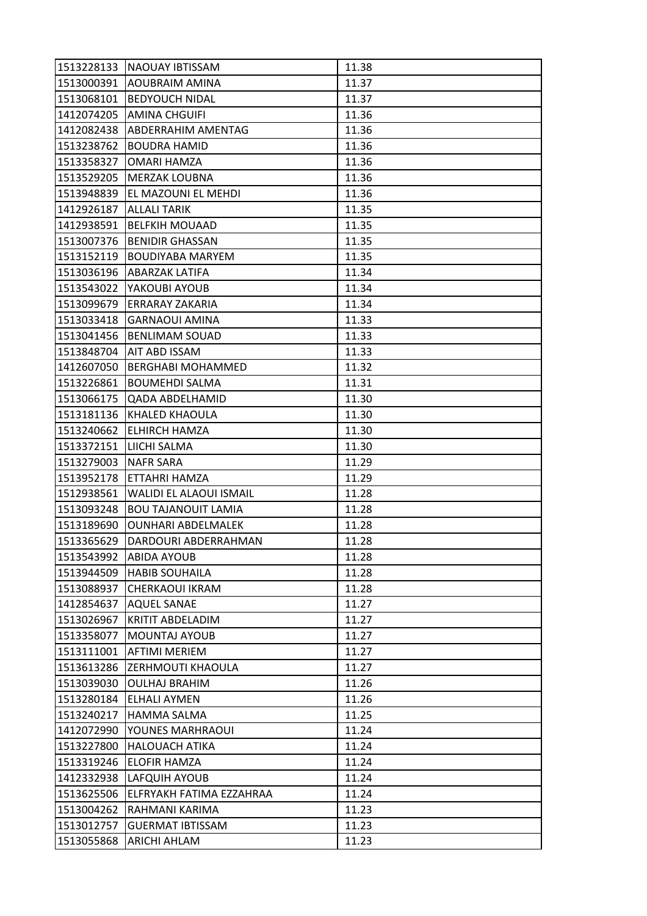| 1513228133 | <b>NAOUAY IBTISSAM</b>     | 11.38 |
|------------|----------------------------|-------|
| 1513000391 | <b>AOUBRAIM AMINA</b>      | 11.37 |
| 1513068101 | <b>BEDYOUCH NIDAL</b>      | 11.37 |
| 1412074205 | <b>AMINA CHGUIFI</b>       | 11.36 |
| 1412082438 | <b>ABDERRAHIM AMENTAG</b>  | 11.36 |
| 1513238762 | <b>BOUDRA HAMID</b>        | 11.36 |
| 1513358327 | <b>OMARI HAMZA</b>         | 11.36 |
| 1513529205 | <b>MERZAK LOUBNA</b>       | 11.36 |
| 1513948839 | EL MAZOUNI EL MEHDI        | 11.36 |
| 1412926187 | <b>ALLALI TARIK</b>        | 11.35 |
| 1412938591 | <b>BELFKIH MOUAAD</b>      | 11.35 |
| 1513007376 | <b>BENIDIR GHASSAN</b>     | 11.35 |
| 1513152119 | <b>BOUDIYABA MARYEM</b>    | 11.35 |
| 1513036196 | <b>ABARZAK LATIFA</b>      | 11.34 |
| 1513543022 | YAKOUBI AYOUB              | 11.34 |
| 1513099679 | <b>ERRARAY ZAKARIA</b>     | 11.34 |
| 1513033418 | <b>GARNAOUI AMINA</b>      | 11.33 |
| 1513041456 | <b>BENLIMAM SOUAD</b>      | 11.33 |
| 1513848704 | AIT ABD ISSAM              | 11.33 |
| 1412607050 | <b>BERGHABI MOHAMMED</b>   | 11.32 |
| 1513226861 | <b>BOUMEHDI SALMA</b>      | 11.31 |
| 1513066175 | QADA ABDELHAMID            | 11.30 |
| 1513181136 | <b>KHALED KHAOULA</b>      | 11.30 |
| 1513240662 | ELHIRCH HAMZA              | 11.30 |
| 1513372151 | LIICHI SALMA               | 11.30 |
| 1513279003 | <b>NAFR SARA</b>           | 11.29 |
| 1513952178 | ETTAHRI HAMZA              | 11.29 |
| 1512938561 | WALIDI EL ALAOUI ISMAIL    | 11.28 |
| 1513093248 | <b>BOU TAJANOUIT LAMIA</b> | 11.28 |
| 1513189690 | <b>OUNHARI ABDELMALEK</b>  | 11.28 |
| 1513365629 | DARDOURI ABDERRAHMAN       | 11.28 |
| 1513543992 | <b>ABIDA AYOUB</b>         | 11.28 |
| 1513944509 | <b>HABIB SOUHAILA</b>      | 11.28 |
| 1513088937 | CHERKAOUI IKRAM            | 11.28 |
| 1412854637 | <b>AQUEL SANAE</b>         | 11.27 |
| 1513026967 | <b>KRITIT ABDELADIM</b>    | 11.27 |
| 1513358077 | <b>MOUNTAJ AYOUB</b>       | 11.27 |
| 1513111001 | <b>AFTIMI MERIEM</b>       | 11.27 |
| 1513613286 | ZERHMOUTI KHAOULA          | 11.27 |
| 1513039030 | <b>OULHAJ BRAHIM</b>       | 11.26 |
| 1513280184 | <b>ELHALI AYMEN</b>        | 11.26 |
| 1513240217 | <b>HAMMA SALMA</b>         | 11.25 |
| 1412072990 | YOUNES MARHRAOUI           | 11.24 |
| 1513227800 | <b>HALOUACH ATIKA</b>      | 11.24 |
| 1513319246 | <b>ELOFIR HAMZA</b>        | 11.24 |
| 1412332938 | LAFQUIH AYOUB              | 11.24 |
| 1513625506 | IELFRYAKH FATIMA EZZAHRAA  | 11.24 |
| 1513004262 | RAHMANI KARIMA             | 11.23 |
| 1513012757 | <b>GUERMAT IBTISSAM</b>    | 11.23 |
| 1513055868 | <b>ARICHI AHLAM</b>        | 11.23 |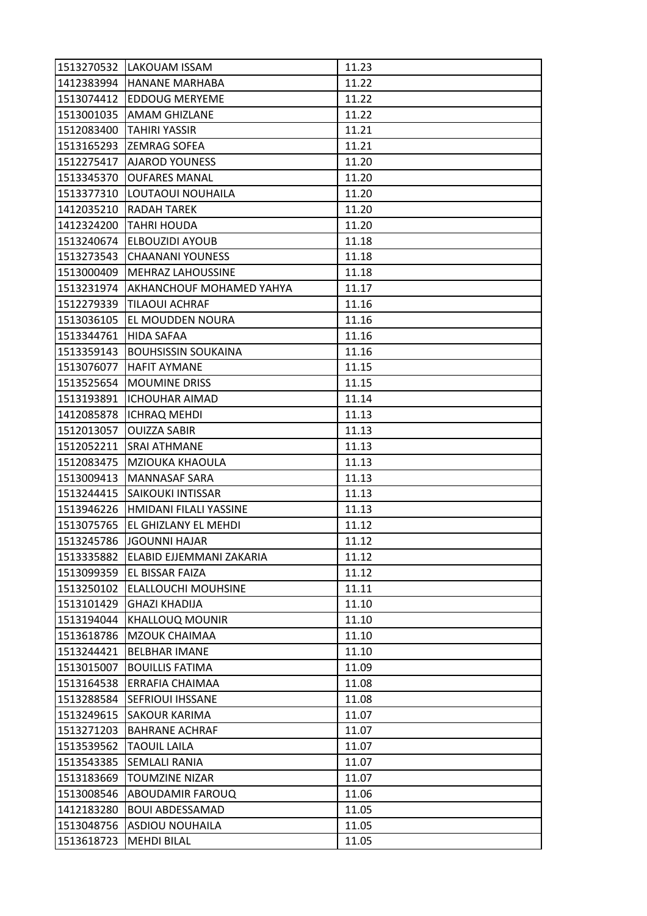| 1513270532 | <b>LAKOUAM ISSAM</b>       | 11.23 |
|------------|----------------------------|-------|
| 1412383994 | <b>HANANE MARHABA</b>      | 11.22 |
| 1513074412 | <b>EDDOUG MERYEME</b>      | 11.22 |
| 1513001035 | <b>AMAM GHIZLANE</b>       | 11.22 |
| 1512083400 | <b>TAHIRI YASSIR</b>       | 11.21 |
| 1513165293 | <b>IZEMRAG SOFEA</b>       | 11.21 |
| 1512275417 | <b>AJAROD YOUNESS</b>      | 11.20 |
| 1513345370 | <b>OUFARES MANAL</b>       | 11.20 |
| 1513377310 | LOUTAOUI NOUHAILA          | 11.20 |
| 1412035210 | <b>RADAH TAREK</b>         | 11.20 |
| 1412324200 | <b>TAHRI HOUDA</b>         | 11.20 |
| 1513240674 | <b>ELBOUZIDI AYOUB</b>     | 11.18 |
| 1513273543 | <b>CHAANANI YOUNESS</b>    | 11.18 |
| 1513000409 | <b>MEHRAZ LAHOUSSINE</b>   | 11.18 |
| 1513231974 | AKHANCHOUF MOHAMED YAHYA   | 11.17 |
| 1512279339 | <b>TILAOUI ACHRAF</b>      | 11.16 |
| 1513036105 | EL MOUDDEN NOURA           | 11.16 |
| 1513344761 | <b>HIDA SAFAA</b>          | 11.16 |
| 1513359143 | <b>BOUHSISSIN SOUKAINA</b> | 11.16 |
| 1513076077 | <b>HAFIT AYMANE</b>        | 11.15 |
| 1513525654 | <b>MOUMINE DRISS</b>       | 11.15 |
| 1513193891 | <b>ICHOUHAR AIMAD</b>      | 11.14 |
| 1412085878 | <b>ICHRAQ MEHDI</b>        | 11.13 |
| 1512013057 | <b>OUIZZA SABIR</b>        | 11.13 |
| 1512052211 | <b>SRAI ATHMANE</b>        | 11.13 |
| 1512083475 | <b>MZIOUKA KHAOULA</b>     | 11.13 |
| 1513009413 | <b>MANNASAF SARA</b>       | 11.13 |
| 1513244415 | <b>SAIKOUKI INTISSAR</b>   | 11.13 |
| 1513946226 | HMIDANI FILALI YASSINE     | 11.13 |
| 1513075765 | EL GHIZLANY EL MEHDI       | 11.12 |
| 1513245786 | <b>JGOUNNI HAJAR</b>       | 11.12 |
| 1513335882 | ELABID EJJEMMANI ZAKARIA   | 11.12 |
| 1513099359 | EL BISSAR FAIZA            | 11.12 |
| 1513250102 | <b>ELALLOUCHI MOUHSINE</b> | 11.11 |
| 1513101429 | <b>GHAZI KHADIJA</b>       | 11.10 |
| 1513194044 | <b>KHALLOUQ MOUNIR</b>     | 11.10 |
| 1513618786 | <b>MZOUK CHAIMAA</b>       | 11.10 |
| 1513244421 | <b>BELBHAR IMANE</b>       | 11.10 |
| 1513015007 | <b>BOUILLIS FATIMA</b>     | 11.09 |
| 1513164538 | <b>ERRAFIA CHAIMAA</b>     | 11.08 |
| 1513288584 | <b>SEFRIOUI IHSSANE</b>    | 11.08 |
| 1513249615 | <b>SAKOUR KARIMA</b>       | 11.07 |
| 1513271203 | <b>BAHRANE ACHRAF</b>      | 11.07 |
| 1513539562 | TAOUIL LAILA               | 11.07 |
| 1513543385 | <b>SEMLALI RANIA</b>       | 11.07 |
| 1513183669 | <b>TOUMZINE NIZAR</b>      | 11.07 |
| 1513008546 | <b>ABOUDAMIR FAROUQ</b>    | 11.06 |
| 1412183280 | <b>BOUI ABDESSAMAD</b>     | 11.05 |
| 1513048756 | <b>ASDIOU NOUHAILA</b>     | 11.05 |
| 1513618723 | <b>MEHDI BILAL</b>         | 11.05 |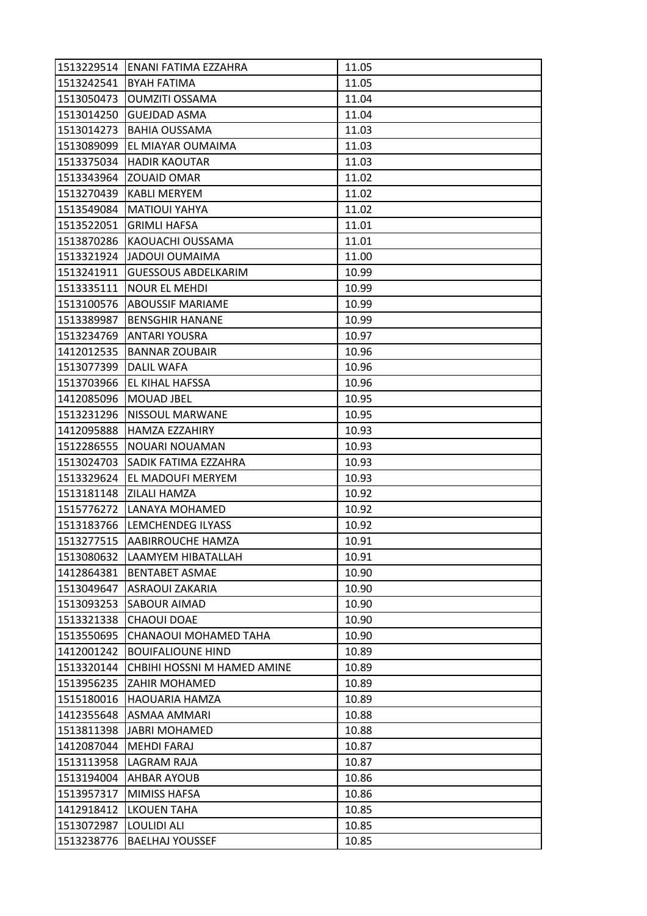| 1513229514 | IENANI FATIMA EZZAHRA       | 11.05 |
|------------|-----------------------------|-------|
| 1513242541 | <b>BYAH FATIMA</b>          | 11.05 |
| 1513050473 | <b>OUMZITI OSSAMA</b>       | 11.04 |
| 1513014250 | <b>GUEJDAD ASMA</b>         | 11.04 |
| 1513014273 | <b>BAHIA OUSSAMA</b>        | 11.03 |
| 1513089099 | EL MIAYAR OUMAIMA           | 11.03 |
| 1513375034 | <b>HADIR KAOUTAR</b>        | 11.03 |
| 1513343964 | ZOUAID OMAR                 | 11.02 |
| 1513270439 | <b>KABLI MERYEM</b>         | 11.02 |
| 1513549084 | <b>MATIOUI YAHYA</b>        | 11.02 |
| 1513522051 | <b>GRIMLI HAFSA</b>         | 11.01 |
| 1513870286 | KAOUACHI OUSSAMA            | 11.01 |
| 1513321924 | JADOUI OUMAIMA              | 11.00 |
| 1513241911 | <b>GUESSOUS ABDELKARIM</b>  | 10.99 |
| 1513335111 | <b>NOUR EL MEHDI</b>        | 10.99 |
| 1513100576 | <b>ABOUSSIF MARIAME</b>     | 10.99 |
| 1513389987 | <b>BENSGHIR HANANE</b>      | 10.99 |
| 1513234769 | <b>ANTARI YOUSRA</b>        | 10.97 |
| 1412012535 | <b>BANNAR ZOUBAIR</b>       | 10.96 |
| 1513077399 | <b>DALIL WAFA</b>           | 10.96 |
| 1513703966 | <b>EL KIHAL HAFSSA</b>      | 10.96 |
| 1412085096 | <b>MOUAD JBEL</b>           | 10.95 |
| 1513231296 | NISSOUL MARWANE             | 10.95 |
| 1412095888 | HAMZA EZZAHIRY              | 10.93 |
| 1512286555 | NOUARI NOUAMAN              | 10.93 |
| 1513024703 | SADIK FATIMA EZZAHRA        | 10.93 |
| 1513329624 | EL MADOUFI MERYEM           | 10.93 |
| 1513181148 | <b>ZILALI HAMZA</b>         | 10.92 |
| 1515776272 | LANAYA MOHAMED              | 10.92 |
| 1513183766 | <b>LEMCHENDEG ILYASS</b>    | 10.92 |
| 1513277515 | AABIRROUCHE HAMZA           | 10.91 |
| 1513080632 | LAAMYEM HIBATALLAH          | 10.91 |
| 1412864381 | <b>BENTABET ASMAE</b>       | 10.90 |
| 1513049647 | ASRAOUI ZAKARIA             | 10.90 |
| 1513093253 | SABOUR AIMAD                | 10.90 |
| 1513321338 | <b>CHAOUI DOAE</b>          | 10.90 |
| 1513550695 | CHANAOUI MOHAMED TAHA       | 10.90 |
| 1412001242 | <b>BOUIFALIOUNE HIND</b>    | 10.89 |
| 1513320144 | CHBIHI HOSSNI M HAMED AMINE | 10.89 |
| 1513956235 | <b>ZAHIR MOHAMED</b>        | 10.89 |
| 1515180016 | HAOUARIA HAMZA              | 10.89 |
| 1412355648 | ASMAA AMMARI                | 10.88 |
| 1513811398 | <b>JABRI MOHAMED</b>        | 10.88 |
| 1412087044 | <b>MEHDI FARAJ</b>          | 10.87 |
| 1513113958 | <b>LAGRAM RAJA</b>          | 10.87 |
| 1513194004 | AHBAR AYOUB                 | 10.86 |
| 1513957317 | <b>MIMISS HAFSA</b>         | 10.86 |
| 1412918412 | <b>LKOUEN TAHA</b>          | 10.85 |
| 1513072987 | <b>LOULIDI ALI</b>          | 10.85 |
| 1513238776 | <b>BAELHAJ YOUSSEF</b>      | 10.85 |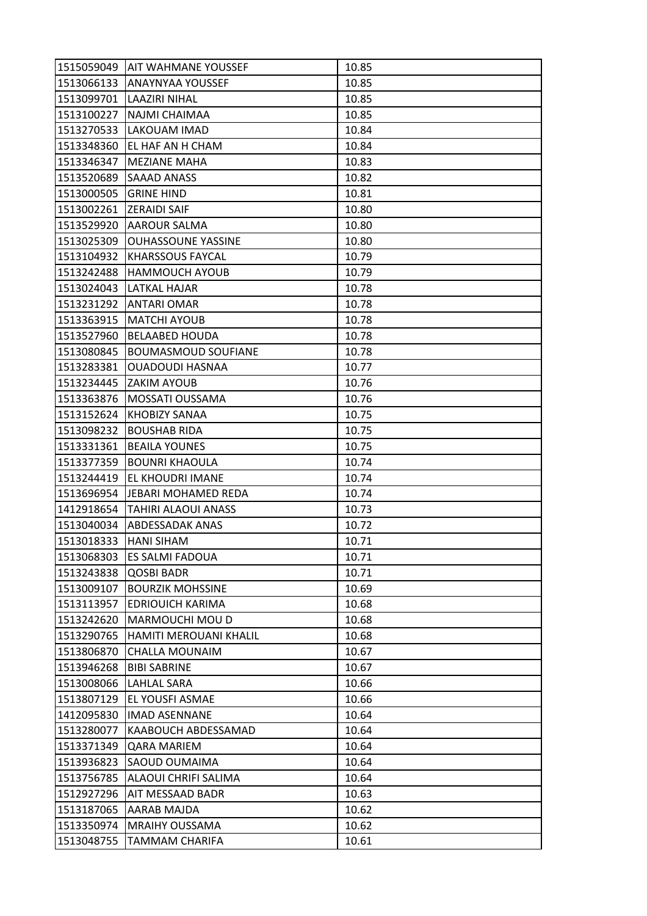| 1515059049 | <b>AIT WAHMANE YOUSSEF</b> | 10.85 |
|------------|----------------------------|-------|
| 1513066133 | <b>ANAYNYAA YOUSSEF</b>    | 10.85 |
| 1513099701 | <b>LAAZIRI NIHAL</b>       | 10.85 |
| 1513100227 | NAJMI CHAIMAA              | 10.85 |
| 1513270533 | LAKOUAM IMAD               | 10.84 |
| 1513348360 | EL HAF AN H CHAM           | 10.84 |
| 1513346347 | <b>MEZIANE MAHA</b>        | 10.83 |
| 1513520689 | <b>SAAAD ANASS</b>         | 10.82 |
| 1513000505 | <b>GRINE HIND</b>          | 10.81 |
| 1513002261 | <b>ZERAIDI SAIF</b>        | 10.80 |
| 1513529920 | <b>AAROUR SALMA</b>        | 10.80 |
| 1513025309 | <b>OUHASSOUNE YASSINE</b>  | 10.80 |
| 1513104932 | <b>KHARSSOUS FAYCAL</b>    | 10.79 |
| 1513242488 | <b>HAMMOUCH AYOUB</b>      | 10.79 |
| 1513024043 | LATKAL HAJAR               | 10.78 |
| 1513231292 | <b>ANTARI OMAR</b>         | 10.78 |
| 1513363915 | <b>MATCHI AYOUB</b>        | 10.78 |
| 1513527960 | <b>BELAABED HOUDA</b>      | 10.78 |
| 1513080845 | <b>BOUMASMOUD SOUFIANE</b> | 10.78 |
| 1513283381 | <b>OUADOUDI HASNAA</b>     | 10.77 |
| 1513234445 | <b>ZAKIM AYOUB</b>         | 10.76 |
| 1513363876 | MOSSATI OUSSAMA            | 10.76 |
| 1513152624 | <b>KHOBIZY SANAA</b>       | 10.75 |
| 1513098232 | <b>BOUSHAB RIDA</b>        | 10.75 |
| 1513331361 | <b>BEAILA YOUNES</b>       | 10.75 |
| 1513377359 | <b>BOUNRI KHAOULA</b>      | 10.74 |
| 1513244419 | <b>EL KHOUDRI IMANE</b>    | 10.74 |
| 1513696954 | JEBARI MOHAMED REDA        | 10.74 |
| 1412918654 | <b>TAHIRI ALAOUI ANASS</b> | 10.73 |
| 1513040034 | <b>ABDESSADAK ANAS</b>     | 10.72 |
| 1513018333 | <b>HANI SIHAM</b>          | 10.71 |
| 1513068303 | <b>ES SALMI FADOUA</b>     | 10.71 |
| 1513243838 | <b>QOSBI BADR</b>          | 10.71 |
| 1513009107 | <b>BOURZIK MOHSSINE</b>    | 10.69 |
| 1513113957 | <b>EDRIOUICH KARIMA</b>    | 10.68 |
| 1513242620 | MARMOUCHI MOU D            | 10.68 |
| 1513290765 | HAMITI MEROUANI KHALIL     | 10.68 |
| 1513806870 | <b>CHALLA MOUNAIM</b>      | 10.67 |
| 1513946268 | <b>BIBI SABRINE</b>        | 10.67 |
| 1513008066 | <b>LAHLAL SARA</b>         | 10.66 |
| 1513807129 | EL YOUSFI ASMAE            | 10.66 |
| 1412095830 | <b>IMAD ASENNANE</b>       | 10.64 |
| 1513280077 | KAABOUCH ABDESSAMAD        | 10.64 |
| 1513371349 | <b>QARA MARIEM</b>         | 10.64 |
| 1513936823 | SAOUD OUMAIMA              | 10.64 |
| 1513756785 | ALAOUI CHRIFI SALIMA       | 10.64 |
| 1512927296 | AIT MESSAAD BADR           | 10.63 |
| 1513187065 | AARAB MAJDA                | 10.62 |
| 1513350974 | <b>MRAIHY OUSSAMA</b>      | 10.62 |
| 1513048755 | TAMMAM CHARIFA             | 10.61 |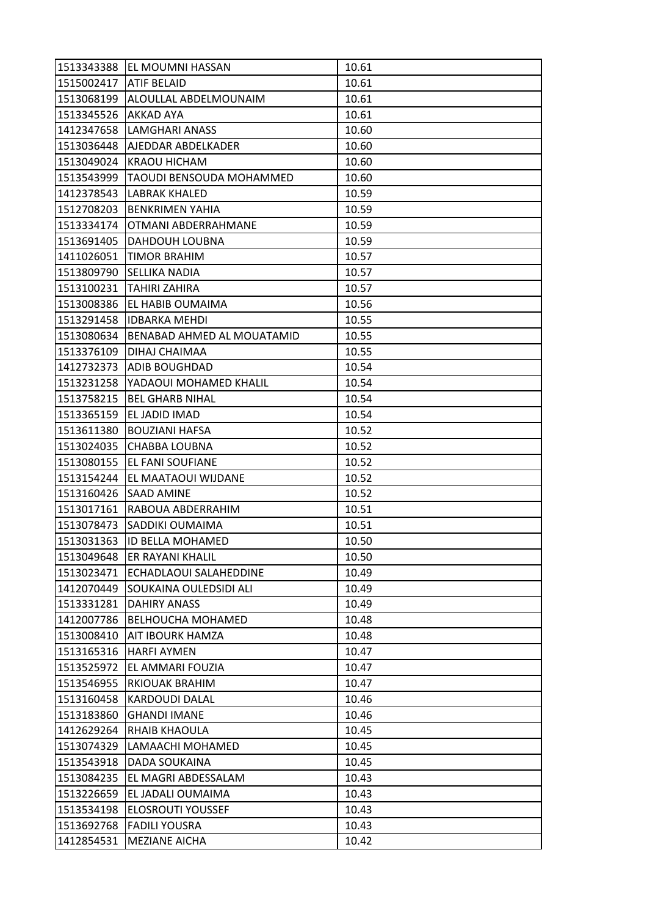| 1513343388 | <b>IEL MOUMNI HASSAN</b>     | 10.61 |
|------------|------------------------------|-------|
| 1515002417 | <b>ATIF BELAID</b>           | 10.61 |
| 1513068199 | <b>ALOULLAL ABDELMOUNAIM</b> | 10.61 |
| 1513345526 | <b>AKKAD AYA</b>             | 10.61 |
| 1412347658 | LAMGHARI ANASS               | 10.60 |
| 1513036448 | AJEDDAR ABDELKADER           | 10.60 |
| 1513049024 | <b>KRAOU HICHAM</b>          | 10.60 |
| 1513543999 | TAOUDI BENSOUDA MOHAMMED     | 10.60 |
| 1412378543 | <b>LABRAK KHALED</b>         | 10.59 |
| 1512708203 | <b>BENKRIMEN YAHIA</b>       | 10.59 |
| 1513334174 | OTMANI ABDERRAHMANE          | 10.59 |
| 1513691405 | DAHDOUH LOUBNA               | 10.59 |
| 1411026051 | TIMOR BRAHIM                 | 10.57 |
| 1513809790 | SELLIKA NADIA                | 10.57 |
| 1513100231 | TAHIRI ZAHIRA                | 10.57 |
| 1513008386 | <b>EL HABIB OUMAIMA</b>      | 10.56 |
| 1513291458 | <b>IDBARKA MEHDI</b>         | 10.55 |
| 1513080634 | BENABAD AHMED AL MOUATAMID   | 10.55 |
| 1513376109 | DIHAJ CHAIMAA                | 10.55 |
| 1412732373 | <b>ADIB BOUGHDAD</b>         | 10.54 |
| 1513231258 | YADAOUI MOHAMED KHALIL       | 10.54 |
| 1513758215 | <b>BEL GHARB NIHAL</b>       | 10.54 |
| 1513365159 | EL JADID IMAD                | 10.54 |
| 1513611380 | <b>BOUZIANI HAFSA</b>        | 10.52 |
| 1513024035 | CHABBA LOUBNA                | 10.52 |
| 1513080155 | <b>EL FANI SOUFIANE</b>      | 10.52 |
| 1513154244 | EL MAATAOUI WIJDANE          | 10.52 |
| 1513160426 | <b>SAAD AMINE</b>            | 10.52 |
| 1513017161 | IRABOUA ABDERRAHIM           | 10.51 |
| 1513078473 | SADDIKI OUMAIMA              | 10.51 |
| 1513031363 | ID BELLA MOHAMED             | 10.50 |
| 1513049648 | <b>ER RAYANI KHALIL</b>      | 10.50 |
| 1513023471 | ECHADLAOUI SALAHEDDINE       | 10.49 |
| 1412070449 | SOUKAINA OULEDSIDI ALI       | 10.49 |
| 1513331281 | <b>DAHIRY ANASS</b>          | 10.49 |
| 1412007786 | <b>BELHOUCHA MOHAMED</b>     | 10.48 |
| 1513008410 | AIT IBOURK HAMZA             | 10.48 |
| 1513165316 | <b>HARFI AYMEN</b>           | 10.47 |
| 1513525972 | EL AMMARI FOUZIA             | 10.47 |
| 1513546955 | <b>RKIOUAK BRAHIM</b>        | 10.47 |
| 1513160458 | <b>KARDOUDI DALAL</b>        | 10.46 |
| 1513183860 | <b>GHANDI IMANE</b>          | 10.46 |
| 1412629264 | <b>RHAIB KHAOULA</b>         | 10.45 |
| 1513074329 | LAMAACHI MOHAMED             | 10.45 |
| 1513543918 | <b>DADA SOUKAINA</b>         | 10.45 |
| 1513084235 | EL MAGRI ABDESSALAM          | 10.43 |
| 1513226659 | EL JADALI OUMAIMA            | 10.43 |
| 1513534198 | <b>ELOSROUTI YOUSSEF</b>     | 10.43 |
| 1513692768 | <b>FADILI YOUSRA</b>         | 10.43 |
| 1412854531 | <b>MEZIANE AICHA</b>         | 10.42 |
|            |                              |       |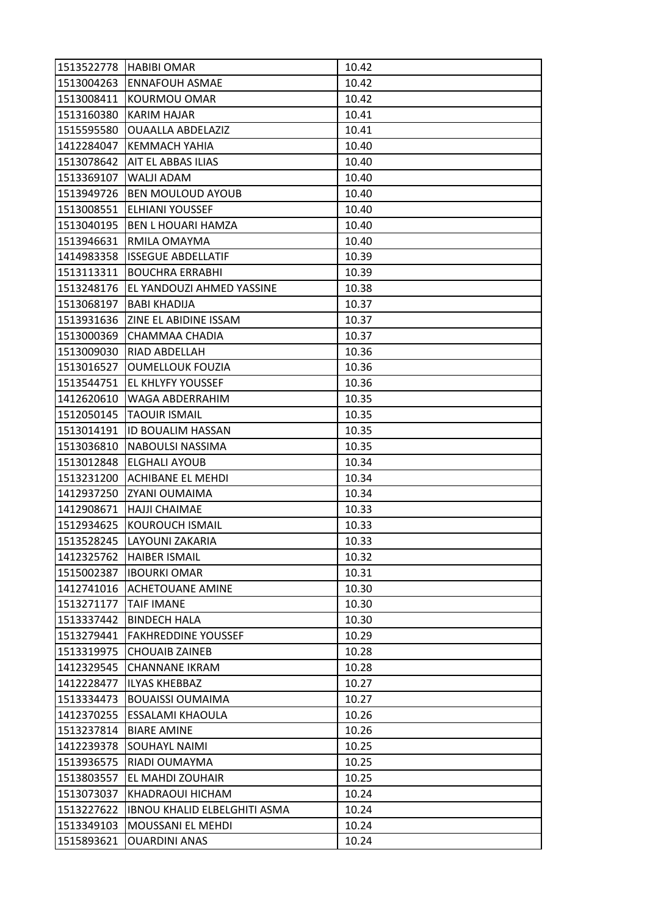| 1513522778 | <b>HABIBI OMAR</b>                  | 10.42 |
|------------|-------------------------------------|-------|
| 1513004263 | <b>ENNAFOUH ASMAE</b>               | 10.42 |
| 1513008411 | <b>KOURMOU OMAR</b>                 | 10.42 |
| 1513160380 | <b>KARIM HAJAR</b>                  | 10.41 |
| 1515595580 | <b>OUAALLA ABDELAZIZ</b>            | 10.41 |
| 1412284047 | KEMMACH YAHIA                       | 10.40 |
| 1513078642 | AIT EL ABBAS ILIAS                  | 10.40 |
| 1513369107 | WALJI ADAM                          | 10.40 |
| 1513949726 | <b>BEN MOULOUD AYOUB</b>            | 10.40 |
| 1513008551 | <b>ELHIANI YOUSSEF</b>              | 10.40 |
| 1513040195 | <b>BEN L HOUARI HAMZA</b>           | 10.40 |
| 1513946631 | RMILA OMAYMA                        | 10.40 |
| 1414983358 | <b>ISSEGUE ABDELLATIF</b>           | 10.39 |
| 1513113311 | <b>BOUCHRA ERRABHI</b>              | 10.39 |
| 1513248176 | EL YANDOUZI AHMED YASSINE           | 10.38 |
| 1513068197 | <b>BABI KHADIJA</b>                 | 10.37 |
| 1513931636 | <b>ZINE EL ABIDINE ISSAM</b>        | 10.37 |
| 1513000369 | CHAMMAA CHADIA                      | 10.37 |
| 1513009030 | RIAD ABDELLAH                       | 10.36 |
| 1513016527 | <b>OUMELLOUK FOUZIA</b>             | 10.36 |
| 1513544751 | <b>EL KHLYFY YOUSSEF</b>            | 10.36 |
| 1412620610 | WAGA ABDERRAHIM                     | 10.35 |
| 1512050145 | <b>TAOUIR ISMAIL</b>                | 10.35 |
| 1513014191 | ID BOUALIM HASSAN                   | 10.35 |
| 1513036810 | NABOULSI NASSIMA                    | 10.35 |
| 1513012848 | <b>ELGHALI AYOUB</b>                | 10.34 |
| 1513231200 | ACHIBANE EL MEHDI                   | 10.34 |
| 1412937250 | ZYANI OUMAIMA                       | 10.34 |
| 1412908671 | <b>HAJJI CHAIMAE</b>                | 10.33 |
| 1512934625 | <b>KOUROUCH ISMAIL</b>              | 10.33 |
| 1513528245 | LAYOUNI ZAKARIA                     | 10.33 |
| 1412325762 | <b>HAIBER ISMAIL</b>                | 10.32 |
| 1515002387 | <b>IBOURKI OMAR</b>                 | 10.31 |
| 1412741016 | <b>ACHETOUANE AMINE</b>             | 10.30 |
| 1513271177 | <b>TAIF IMANE</b>                   | 10.30 |
| 1513337442 | <b>BINDECH HALA</b>                 | 10.30 |
| 1513279441 | <b>FAKHREDDINE YOUSSEF</b>          | 10.29 |
| 1513319975 | <b>CHOUAIB ZAINEB</b>               | 10.28 |
| 1412329545 | <b>CHANNANE IKRAM</b>               | 10.28 |
| 1412228477 | <b>ILYAS KHEBBAZ</b>                | 10.27 |
| 1513334473 | <b>BOUAISSI OUMAIMA</b>             | 10.27 |
| 1412370255 | <b>ESSALAMI KHAOULA</b>             | 10.26 |
| 1513237814 | <b>BIARE AMINE</b>                  | 10.26 |
| 1412239378 | <b>SOUHAYL NAIMI</b>                | 10.25 |
| 1513936575 | RIADI OUMAYMA                       | 10.25 |
| 1513803557 | EL MAHDI ZOUHAIR                    | 10.25 |
| 1513073037 | KHADRAOUI HICHAM                    | 10.24 |
| 1513227622 | <b>IBNOU KHALID ELBELGHITI ASMA</b> | 10.24 |
| 1513349103 | <b>MOUSSANI EL MEHDI</b>            | 10.24 |
| 1515893621 | <b>OUARDINI ANAS</b>                | 10.24 |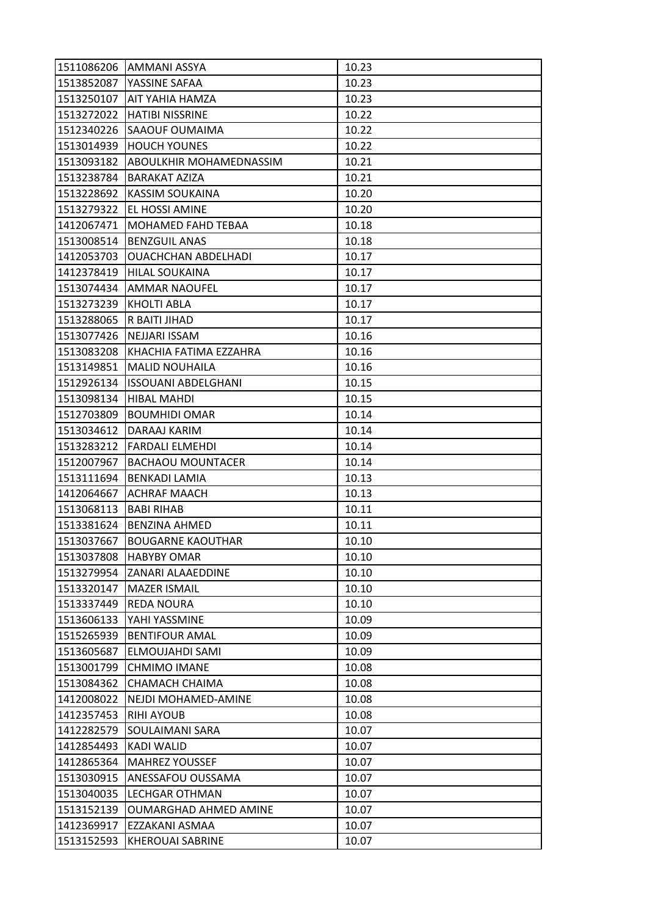| 1511086206 | <b>JAMMANI ASSYA</b>         | 10.23 |
|------------|------------------------------|-------|
| 1513852087 | YASSINE SAFAA                | 10.23 |
| 1513250107 | IAIT YAHIA HAMZA             | 10.23 |
| 1513272022 | <b>HATIBI NISSRINE</b>       | 10.22 |
| 1512340226 | SAAOUF OUMAIMA               | 10.22 |
| 1513014939 | <b>HOUCH YOUNES</b>          | 10.22 |
| 1513093182 | ABOULKHIR MOHAMEDNASSIM      | 10.21 |
| 1513238784 | <b>BARAKAT AZIZA</b>         | 10.21 |
| 1513228692 | <b>KASSIM SOUKAINA</b>       | 10.20 |
| 1513279322 | <b>EL HOSSI AMINE</b>        | 10.20 |
| 1412067471 | <b>MOHAMED FAHD TEBAA</b>    | 10.18 |
| 1513008514 | <b>BENZGUIL ANAS</b>         | 10.18 |
| 1412053703 | <b>OUACHCHAN ABDELHADI</b>   | 10.17 |
| 1412378419 | <b>HILAL SOUKAINA</b>        | 10.17 |
| 1513074434 | <b>AMMAR NAOUFEL</b>         | 10.17 |
| 1513273239 | <b>KHOLTI ABLA</b>           | 10.17 |
| 1513288065 | R BAITI JIHAD                | 10.17 |
| 1513077426 | NEJJARI ISSAM                | 10.16 |
| 1513083208 | KHACHIA FATIMA EZZAHRA       | 10.16 |
| 1513149851 | <b>MALID NOUHAILA</b>        | 10.16 |
| 1512926134 | <b>ISSOUANI ABDELGHANI</b>   | 10.15 |
| 1513098134 | <b>HIBAL MAHDI</b>           | 10.15 |
| 1512703809 | <b>BOUMHIDI OMAR</b>         | 10.14 |
| 1513034612 | DARAAJ KARIM                 | 10.14 |
| 1513283212 | <b>FARDALI ELMEHDI</b>       | 10.14 |
| 1512007967 | <b>BACHAOU MOUNTACER</b>     | 10.14 |
| 1513111694 | <b>BENKADI LAMIA</b>         | 10.13 |
| 1412064667 | <b>ACHRAF MAACH</b>          | 10.13 |
| 1513068113 | <b>BABI RIHAB</b>            | 10.11 |
| 1513381624 | <b>BENZINA AHMED</b>         | 10.11 |
| 1513037667 | <b>BOUGARNE KAOUTHAR</b>     | 10.10 |
| 1513037808 | <b>HABYBY OMAR</b>           | 10.10 |
| 1513279954 | <b>ZANARI ALAAEDDINE</b>     | 10.10 |
| 1513320147 | <b>MAZER ISMAIL</b>          | 10.10 |
| 1513337449 | <b>REDA NOURA</b>            | 10.10 |
| 1513606133 | YAHI YASSMINE                | 10.09 |
| 1515265939 | <b>BENTIFOUR AMAL</b>        | 10.09 |
| 1513605687 | ELMOUJAHDI SAMI              | 10.09 |
| 1513001799 | <b>CHMIMO IMANE</b>          | 10.08 |
| 1513084362 | <b>CHAMACH CHAIMA</b>        | 10.08 |
| 1412008022 | NEJDI MOHAMED-AMINE          | 10.08 |
| 1412357453 | <b>RIHI AYOUB</b>            | 10.08 |
| 1412282579 | SOULAIMANI SARA              | 10.07 |
| 1412854493 | <b>KADI WALID</b>            | 10.07 |
| 1412865364 | <b>MAHREZ YOUSSEF</b>        | 10.07 |
| 1513030915 | ANESSAFOU OUSSAMA            | 10.07 |
| 1513040035 | <b>LECHGAR OTHMAN</b>        | 10.07 |
| 1513152139 | <b>OUMARGHAD AHMED AMINE</b> | 10.07 |
| 1412369917 | EZZAKANI ASMAA               | 10.07 |
| 1513152593 | <b>KHEROUAI SABRINE</b>      | 10.07 |